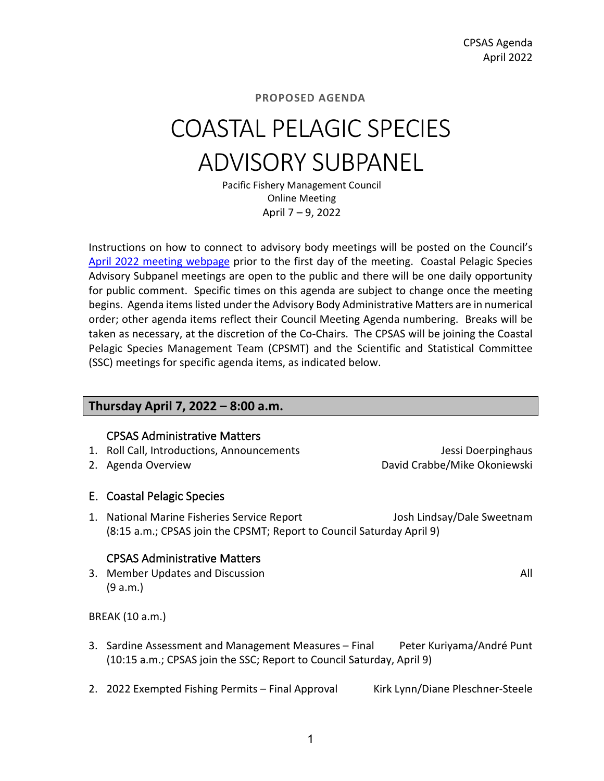# COASTAL PELAGIC SPECIES ADVISORY SUBPANEL

Pacific Fishery Management Council Online Meeting April 7 – 9, 2022

Instructions on how to connect to advisory body meetings will be posted on the Council's [April 2022 meeting webpage](https://www.pcouncil.org/council_meeting/april-6-13-2022-council-meeting/) prior to the first day of the meeting. Coastal Pelagic Species Advisory Subpanel meetings are open to the public and there will be one daily opportunity for public comment. Specific times on this agenda are subject to change once the meeting begins. Agenda items listed under the Advisory Body Administrative Matters are in numerical order; other agenda items reflect their Council Meeting Agenda numbering. Breaks will be taken as necessary, at the discretion of the Co-Chairs. The CPSAS will be joining the Coastal Pelagic Species Management Team (CPSMT) and the Scientific and Statistical Committee (SSC) meetings for specific agenda items, as indicated below.

### **Thursday April 7, 2022 – 8:00 a.m.**

### CPSAS Administrative Matters

- 1. Roll Call, Introductions, Announcements Jessi Doerpinghaus
- 

2. Agenda Overview **David Crabbe/Mike Okoniewski** 

### E. Coastal Pelagic Species

1. National Marine Fisheries Service Report Josh Lindsay/Dale Sweetnam (8:15 a.m.; CPSAS join the CPSMT; Report to Council Saturday April 9)

### CPSAS Administrative Matters

3. Member Updates and Discussion All and All and All and All and All and All and All and All and All and All and All and All and All and All and All and All and All and All and All and All and All and All and All and All a (9 a.m.)

BREAK (10 a.m.)

- 3. Sardine Assessment and Management Measures Final Peter Kuriyama/André Punt (10:15 a.m.; CPSAS join the SSC; Report to Council Saturday, April 9)
- 2. 2022 Exempted Fishing Permits Final Approval Kirk Lynn/Diane Pleschner-Steele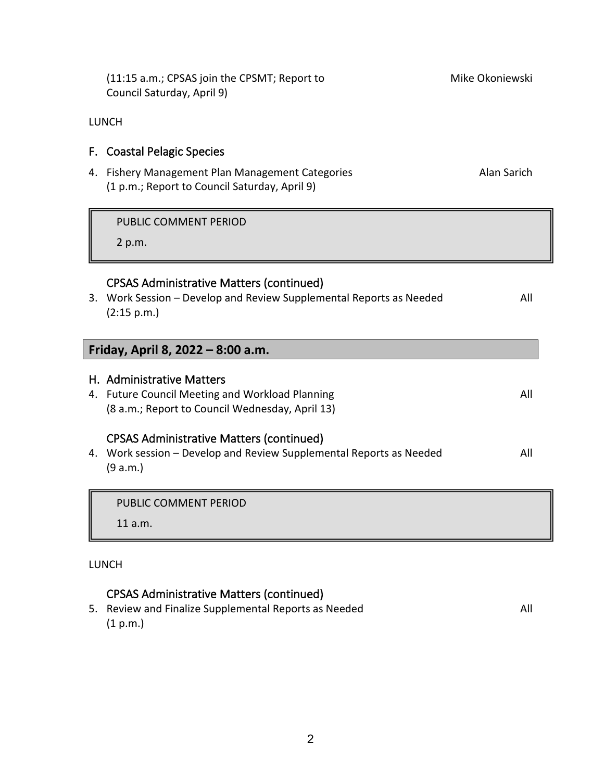| (11:15 a.m.; CPSAS join the CPSMT; Report to<br>Council Saturday, April 9)                                                            | Mike Okoniewski |
|---------------------------------------------------------------------------------------------------------------------------------------|-----------------|
| <b>LUNCH</b>                                                                                                                          |                 |
| F. Coastal Pelagic Species                                                                                                            |                 |
| 4. Fishery Management Plan Management Categories<br>(1 p.m.; Report to Council Saturday, April 9)                                     | Alan Sarich     |
| PUBLIC COMMENT PERIOD                                                                                                                 |                 |
| 2 p.m.                                                                                                                                |                 |
| <b>CPSAS Administrative Matters (continued)</b><br>3. Work Session - Develop and Review Supplemental Reports as Needed<br>(2:15 p.m.) | All             |
| Friday, April 8, 2022 - 8:00 a.m.                                                                                                     |                 |
| H. Administrative Matters<br>4. Future Council Meeting and Workload Planning<br>(8 a.m.; Report to Council Wednesday, April 13)       | All             |
| <b>CPSAS Administrative Matters (continued)</b><br>4. Work session - Develop and Review Supplemental Reports as Needed<br>(9 a.m.)    | All             |
| <b>PUBLIC COMMENT PERIOD</b>                                                                                                          |                 |
| 11 a.m.                                                                                                                               |                 |

### LUNCH

### CPSAS Administrative Matters (continued)

5. Review and Finalize Supplemental Reports as Needed All (1 p.m.)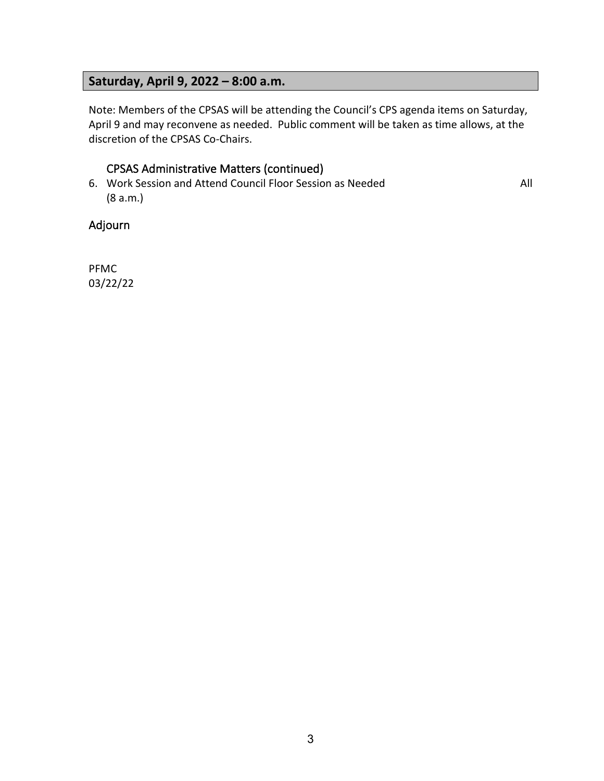### **Saturday, April 9, 2022 – 8:00 a.m.**

Note: Members of the CPSAS will be attending the Council's CPS agenda items on Saturday, April 9 and may reconvene as needed. Public comment will be taken as time allows, at the discretion of the CPSAS Co-Chairs.

### CPSAS Administrative Matters (continued)

6. Work Session and Attend Council Floor Session as Needed All (8 a.m.)

### Adjourn

PFMC 03/22/22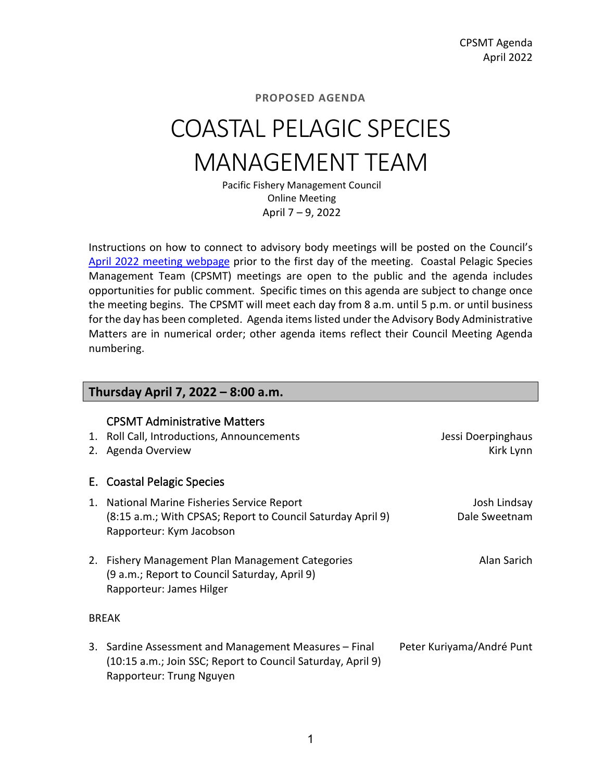# COASTAL PELAGIC SPECIES MANAGEMENT TEAM

Pacific Fishery Management Council Online Meeting April 7 – 9, 2022

Instructions on how to connect to advisory body meetings will be posted on the Council's [April 2022 meeting webpage](https://www.pcouncil.org/council_meeting/april-6-13-2022-council-meeting/) prior to the first day of the meeting. Coastal Pelagic Species Management Team (CPSMT) meetings are open to the public and the agenda includes opportunities for public comment. Specific times on this agenda are subject to change once the meeting begins. The CPSMT will meet each day from 8 a.m. until 5 p.m. or until business for the day has been completed. Agenda items listed under the Advisory Body Administrative Matters are in numerical order; other agenda items reflect their Council Meeting Agenda numbering.

### **Thursday April 7, 2022 – 8:00 a.m.**

### CPSMT Administrative Matters

| 1. Roll Call, Introductions, Announcements<br>2. Agenda Overview                                                                       | Jessi Doerpinghaus<br>Kirk Lynn |
|----------------------------------------------------------------------------------------------------------------------------------------|---------------------------------|
| E. Coastal Pelagic Species                                                                                                             |                                 |
| 1. National Marine Fisheries Service Report<br>(8:15 a.m.; With CPSAS; Report to Council Saturday April 9)<br>Rapporteur: Kym Jacobson | Josh Lindsay<br>Dale Sweetnam   |
| 2. Fishery Management Plan Management Categories<br>(9 a.m.; Report to Council Saturday, April 9)<br>Rapporteur: James Hilger          | Alan Sarich                     |
| <b>BREAK</b>                                                                                                                           |                                 |
| 3. Sardine Assessment and Management Measures - Final                                                                                  | Peter Kuriyama/André Punt       |

(10:15 a.m.; Join SSC; Report to Council Saturday, April 9) Rapporteur: Trung Nguyen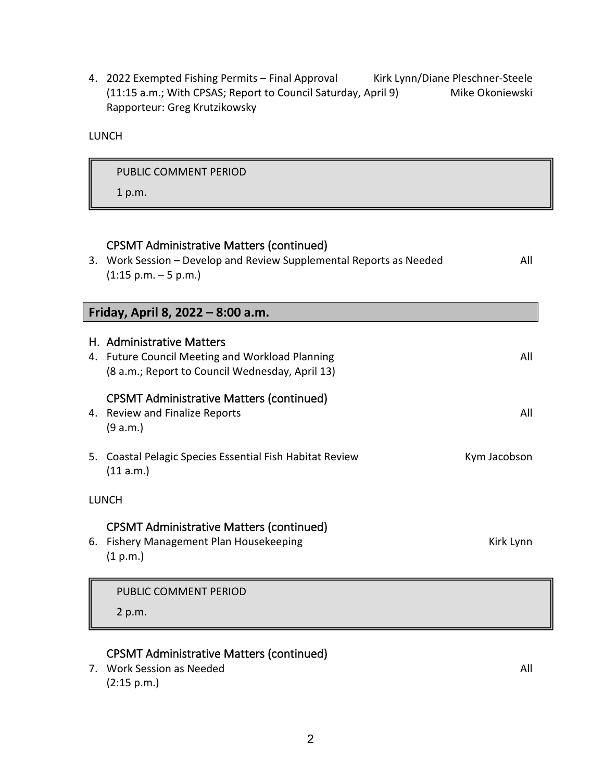4. 2022 Exempted Fishing Permits - Final Approval Kirk Lynn/Diane Pleschner-Steele (11:15 a.m.; With CPSAS; Report to Council Saturday, April 9) Mike Okoniewski Rapporteur: Greg Krutzikowsky

LUNCH

|    | PUBLIC COMMENT PERIOD                                                                                                                                            |              |
|----|------------------------------------------------------------------------------------------------------------------------------------------------------------------|--------------|
|    | 1 p.m.                                                                                                                                                           |              |
|    | <b>CPSMT Administrative Matters (continued)</b><br>3. Work Session - Develop and Review Supplemental Reports as Needed<br>$(1:15 \text{ p.m.} - 5 \text{ p.m.})$ | All          |
|    | Friday, April 8, 2022 - 8:00 a.m.                                                                                                                                |              |
|    | H. Administrative Matters<br>4. Future Council Meeting and Workload Planning<br>(8 a.m.; Report to Council Wednesday, April 13)                                  | All          |
|    | <b>CPSMT Administrative Matters (continued)</b><br>4. Review and Finalize Reports<br>(9 a.m.)                                                                    | All          |
| 5. | Coastal Pelagic Species Essential Fish Habitat Review<br>(11 a.m.)                                                                                               | Kym Jacobson |
|    | <b>LUNCH</b>                                                                                                                                                     |              |
| 6. | <b>CPSMT Administrative Matters (continued)</b><br>Fishery Management Plan Housekeeping<br>(1 p.m.)                                                              | Kirk Lynn    |
|    | PUBLIC COMMENT PERIOD                                                                                                                                            |              |
|    | 2 p.m.                                                                                                                                                           |              |

### CPSMT Administrative Matters (continued)

7. Work Session as Needed All and the Session as Needed All and the Session and All and All and All and All and All and All and All and All and All and All and All and All and All and All and All and All and All and All an (2:15 p.m.)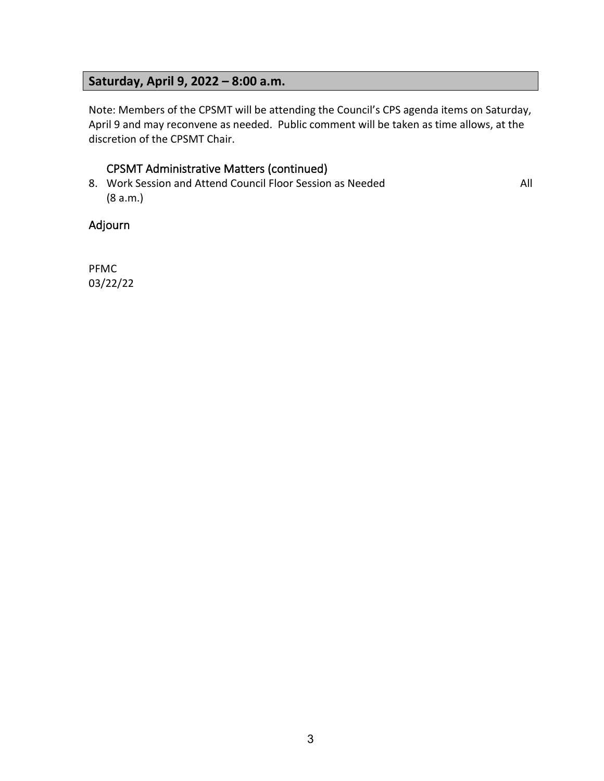### **Saturday, April 9, 2022 – 8:00 a.m.**

Note: Members of the CPSMT will be attending the Council's CPS agenda items on Saturday, April 9 and may reconvene as needed. Public comment will be taken as time allows, at the discretion of the CPSMT Chair.

### CPSMT Administrative Matters (continued)

8. Work Session and Attend Council Floor Session as Needed All (8 a.m.)

Adjourn

PFMC 03/22/22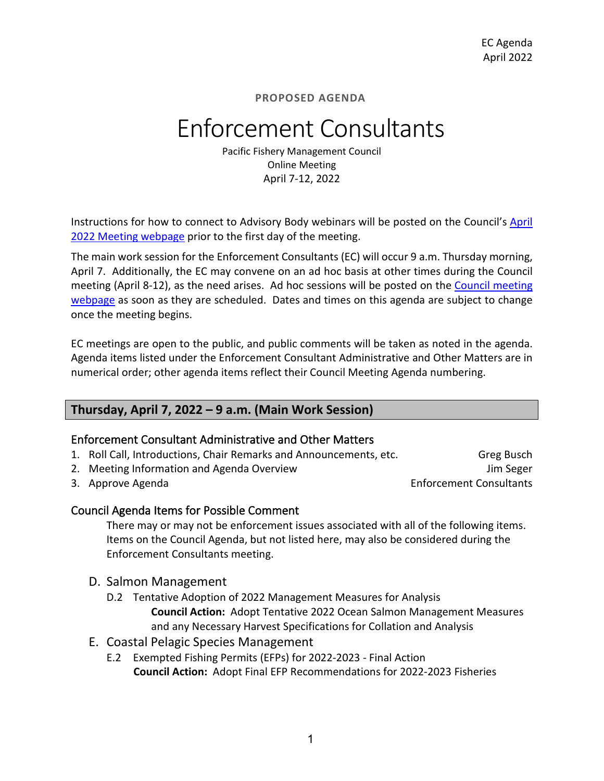## Enforcement Consultants

Pacific Fishery Management Council Online Meeting April 7-12, 2022

Instructions for how to connect to Advisory Body webinars will be posted on the Council's [April](https://www.pcouncil.org/council_meeting/april-6-13-2022-council-meeting/) 2022 [Meeting webpage](https://www.pcouncil.org/council_meeting/april-6-13-2022-council-meeting/) prior to the first day of the meeting.

The main work session for the Enforcement Consultants (EC) will occur 9 a.m. Thursday morning, April 7. Additionally, the EC may convene on an ad hoc basis at other times during the Council meeting (April 8-12), as the need arises. Ad hoc sessions will be posted on the [Council meeting](https://www.pcouncil.org/council_meeting/april-6-13-2022-council-meeting/)  [webpage](https://www.pcouncil.org/council_meeting/april-6-13-2022-council-meeting/) as soon as they are scheduled. Dates and times on this agenda are subject to change once the meeting begins.

EC meetings are open to the public, and public comments will be taken as noted in the agenda. Agenda items listed under the Enforcement Consultant Administrative and Other Matters are in numerical order; other agenda items reflect their Council Meeting Agenda numbering.

### **Thursday, April 7, 2022 – 9 a.m. (Main Work Session)**

### Enforcement Consultant Administrative and Other Matters

- 1. Roll Call, Introductions, Chair Remarks and Announcements, etc. Greg Busch
- 2. Meeting Information and Agenda Overview Jum Seger Jum Seger
- 

3. Approve Agenda **Enforcement Consultants** 

### Council Agenda Items for Possible Comment

There may or may not be enforcement issues associated with all of the following items. Items on the Council Agenda, but not listed here, may also be considered during the Enforcement Consultants meeting.

- D. Salmon Management
	- D.2 Tentative Adoption of 2022 Management Measures for Analysis **Council Action:** Adopt Tentative 2022 Ocean Salmon Management Measures and any Necessary Harvest Specifications for Collation and Analysis
- E. Coastal Pelagic Species Management
	- E.2 Exempted Fishing Permits (EFPs) for 2022-2023 Final Action **Council Action:** Adopt Final EFP Recommendations for 2022-2023 Fisheries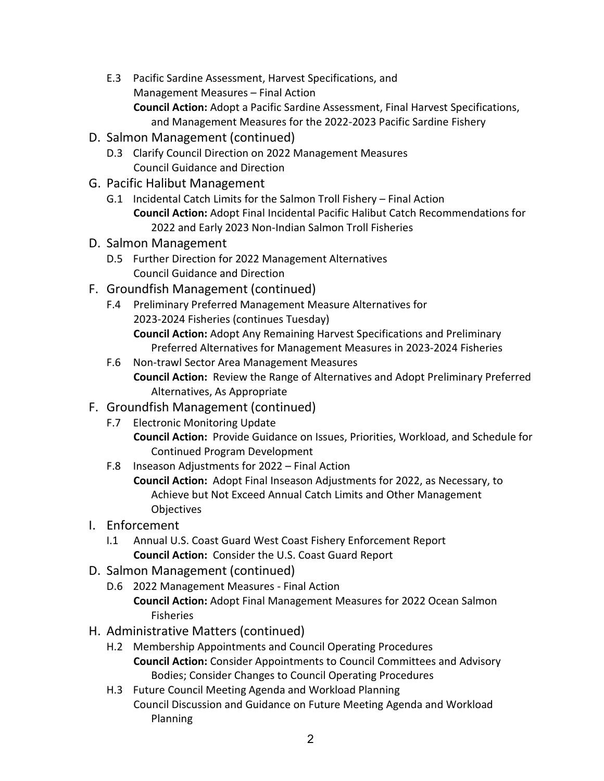- E.3 Pacific Sardine Assessment, Harvest Specifications, and Management Measures – Final Action **Council Action:** Adopt a Pacific Sardine Assessment, Final Harvest Specifications, and Management Measures for the 2022-2023 Pacific Sardine Fishery
- D. Salmon Management (continued)
	- D.3 Clarify Council Direction on 2022 Management Measures Council Guidance and Direction
- G. Pacific Halibut Management
	- G.1 Incidental Catch Limits for the Salmon Troll Fishery Final Action **Council Action:** Adopt Final Incidental Pacific Halibut Catch Recommendations for 2022 and Early 2023 Non-Indian Salmon Troll Fisheries
- D. Salmon Management
	- D.5 Further Direction for 2022 Management Alternatives Council Guidance and Direction
- F. Groundfish Management (continued)
	- F.4 Preliminary Preferred Management Measure Alternatives for 2023-2024 Fisheries (continues Tuesday) **Council Action:** Adopt Any Remaining Harvest Specifications and Preliminary Preferred Alternatives for Management Measures in 2023-2024 Fisheries
	- F.6 Non-trawl Sector Area Management Measures **Council Action:** Review the Range of Alternatives and Adopt Preliminary Preferred Alternatives, As Appropriate
- F. Groundfish Management (continued)
	- F.7 Electronic Monitoring Update
		- **Council Action:** Provide Guidance on Issues, Priorities, Workload, and Schedule for Continued Program Development
	- F.8 Inseason Adjustments for 2022 Final Action **Council Action:** Adopt Final Inseason Adjustments for 2022, as Necessary, to Achieve but Not Exceed Annual Catch Limits and Other Management **Objectives**
- I. Enforcement
	- I.1 Annual U.S. Coast Guard West Coast Fishery Enforcement Report **Council Action:** Consider the U.S. Coast Guard Report
- D. Salmon Management (continued)
	- D.6 2022 Management Measures Final Action **Council Action:** Adopt Final Management Measures for 2022 Ocean Salmon Fisheries
- H. Administrative Matters (continued)
	- H.2 Membership Appointments and Council Operating Procedures **Council Action:** Consider Appointments to Council Committees and Advisory Bodies; Consider Changes to Council Operating Procedures
	- H.3 Future Council Meeting Agenda and Workload Planning Council Discussion and Guidance on Future Meeting Agenda and Workload Planning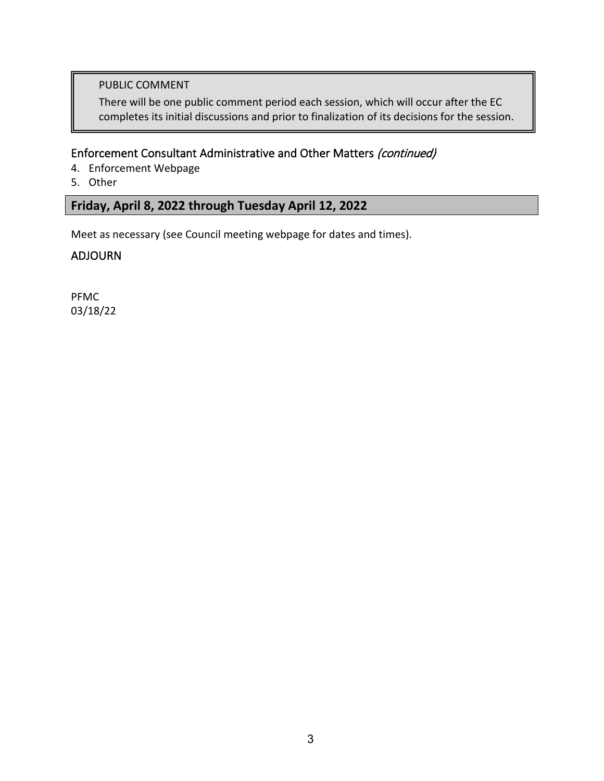### PUBLIC COMMENT

There will be one public comment period each session, which will occur after the EC completes its initial discussions and prior to finalization of its decisions for the session.

### Enforcement Consultant Administrative and Other Matters (continued)

- 4. Enforcement Webpage
- 5. Other

### **Friday, April 8, 2022 through Tuesday April 12, 2022**

Meet as necessary (see Council meeting webpage for dates and times).

### ADJOURN

PFMC 03/18/22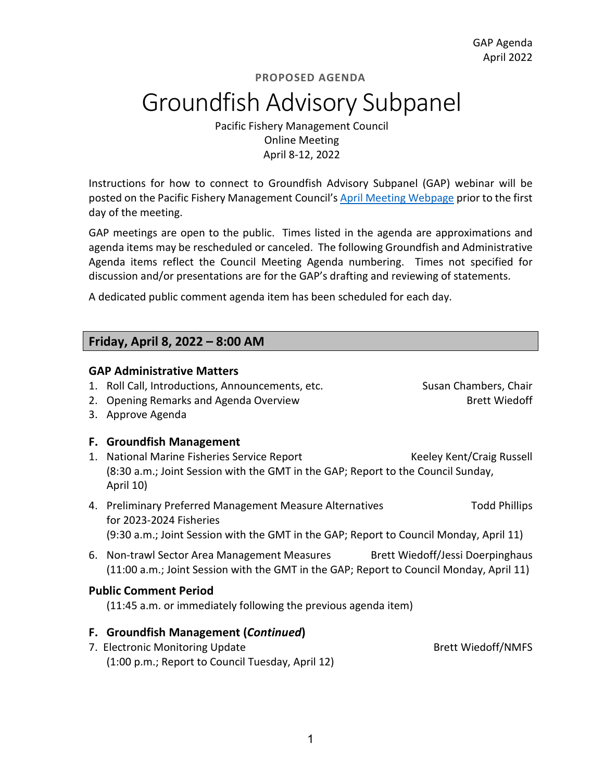## Groundfish Advisory Subpanel

Pacific Fishery Management Council Online Meeting April 8-12, 2022

Instructions for how to connect to Groundfish Advisory Subpanel (GAP) webinar will be posted on the Pacific Fishery Management Council's [April](https://www.pcouncil.org/council_meeting/april-6-13-2022-council-meeting/) [Meeting Webpage](https://www.pcouncil.org/council_meeting/april-6-13-2022-council-meeting/) prior to the first day of the meeting.

GAP meetings are open to the public. Times listed in the agenda are approximations and agenda items may be rescheduled or canceled. The following Groundfish and Administrative Agenda items reflect the Council Meeting Agenda numbering. Times not specified for discussion and/or presentations are for the GAP's drafting and reviewing of statements.

A dedicated public comment agenda item has been scheduled for each day.

### **Friday, April 8, 2022 – 8:00 AM**

### **GAP Administrative Matters**

- 1. Roll Call, Introductions, Announcements, etc. Susan Chambers, Chair
- 2. Opening Remarks and Agenda Overview Brett Wiedoff

3. Approve Agenda

### **F. Groundfish Management**

- 1. National Marine Fisheries Service Report Keeley Kent/Craig Russell (8:30 a.m.; Joint Session with the GMT in the GAP; Report to the Council Sunday, April 10)
- 4. Preliminary Preferred Management Measure Alternatives Todd Phillips for 2023-2024 Fisheries (9:30 a.m.; Joint Session with the GMT in the GAP; Report to Council Monday, April 11)
- 6. Non-trawl Sector Area Management Measures Brett Wiedoff/Jessi Doerpinghaus (11:00 a.m.; Joint Session with the GMT in the GAP; Report to Council Monday, April 11)

### **Public Comment Period**

(11:45 a.m. or immediately following the previous agenda item)

### **F. Groundfish Management (***Continued***)**

7. Electronic Monitoring Update **Brett Wiedoff/NMFS** (1:00 p.m.; Report to Council Tuesday, April 12)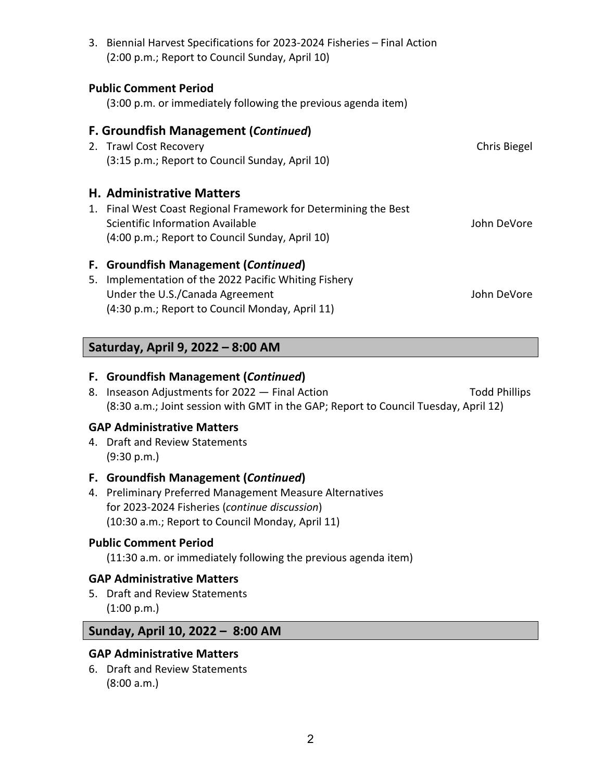|    | 3. Biennial Harvest Specifications for 2023-2024 Fisheries - Final Action<br>(2:00 p.m.; Report to Council Sunday, April 10) |              |
|----|------------------------------------------------------------------------------------------------------------------------------|--------------|
|    | <b>Public Comment Period</b>                                                                                                 |              |
|    | (3:00 p.m. or immediately following the previous agenda item)                                                                |              |
|    | <b>F. Groundfish Management (Continued)</b>                                                                                  |              |
|    | 2. Trawl Cost Recovery                                                                                                       | Chris Biegel |
|    | (3:15 p.m.; Report to Council Sunday, April 10)                                                                              |              |
|    | <b>H. Administrative Matters</b>                                                                                             |              |
|    | 1. Final West Coast Regional Framework for Determining the Best                                                              |              |
|    | Scientific Information Available                                                                                             | John DeVore  |
|    | (4:00 p.m.; Report to Council Sunday, April 10)                                                                              |              |
| F. | <b>Groundfish Management (Continued)</b>                                                                                     |              |
| 5. | Implementation of the 2022 Pacific Whiting Fishery                                                                           |              |
|    | Under the U.S./Canada Agreement                                                                                              | John DeVore  |
|    | (4:30 p.m.; Report to Council Monday, April 11)                                                                              |              |

### **Saturday, April 9, 2022 – 8:00 AM**

### **F. Groundfish Management (***Continued***)**

8. Inseason Adjustments for 2022 — Final Action Translation Todd Phillips (8:30 a.m.; Joint session with GMT in the GAP; Report to Council Tuesday, April 12)

### **GAP Administrative Matters**

4. Draft and Review Statements (9:30 p.m.)

### **F. Groundfish Management (***Continued***)**

4. Preliminary Preferred Management Measure Alternatives for 2023-2024 Fisheries (*continue discussion*) (10:30 a.m.; Report to Council Monday, April 11)

### **Public Comment Period**

(11:30 a.m. or immediately following the previous agenda item)

### **GAP Administrative Matters**

5. Draft and Review Statements (1:00 p.m.)

### **Sunday, April 10, 2022 – 8:00 AM**

### **GAP Administrative Matters**

6. Draft and Review Statements (8:00 a.m.)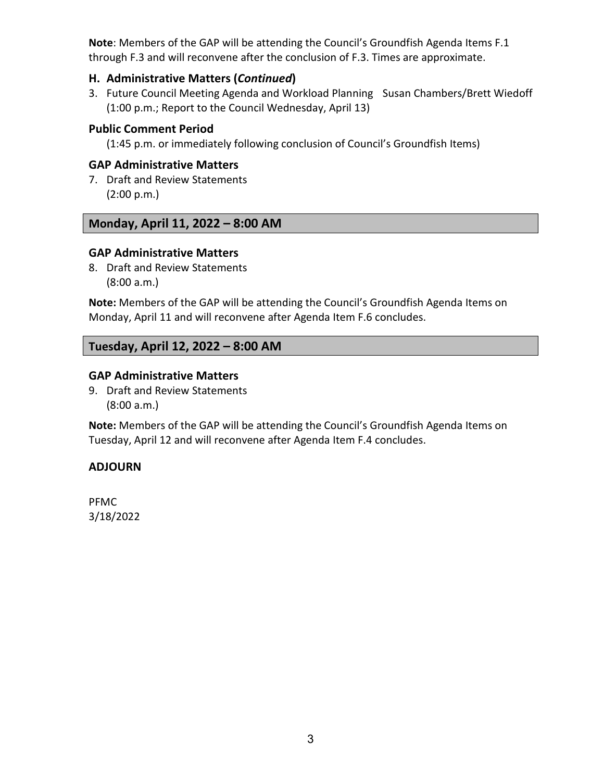**Note**: Members of the GAP will be attending the Council's Groundfish Agenda Items F.1 through F.3 and will reconvene after the conclusion of F.3. Times are approximate.

### **H. Administrative Matters (***Continued***)**

3. Future Council Meeting Agenda and Workload Planning Susan Chambers/Brett Wiedoff (1:00 p.m.; Report to the Council Wednesday, April 13)

### **Public Comment Period**

(1:45 p.m. or immediately following conclusion of Council's Groundfish Items)

### **GAP Administrative Matters**

7. Draft and Review Statements (2:00 p.m.)

### **Monday, April 11, 2022 – 8:00 AM**

### **GAP Administrative Matters**

8. Draft and Review Statements (8:00 a.m.)

**Note:** Members of the GAP will be attending the Council's Groundfish Agenda Items on Monday, April 11 and will reconvene after Agenda Item F.6 concludes.

### **Tuesday, April 12, 2022 – 8:00 AM**

### **GAP Administrative Matters**

9. Draft and Review Statements (8:00 a.m.)

**Note:** Members of the GAP will be attending the Council's Groundfish Agenda Items on Tuesday, April 12 and will reconvene after Agenda Item F.4 concludes.

### **ADJOURN**

PFMC 3/18/2022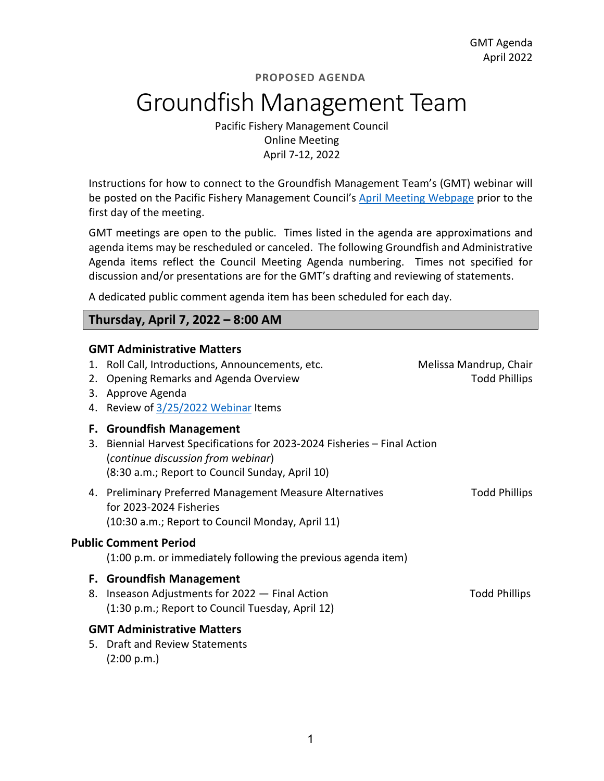## Groundfish Management Team

Pacific Fishery Management Council Online Meeting April 7-12, 2022

Instructions for how to connect to the Groundfish Management Team's (GMT) webinar will be posted on the Pacific Fishery Management Council's [April](https://www.pcouncil.org/council_meeting/april-6-13-2022-council-meeting/) [Meeting Webpage](https://www.pcouncil.org/council_meeting/april-6-13-2022-council-meeting/) prior to the first day of the meeting.

GMT meetings are open to the public. Times listed in the agenda are approximations and agenda items may be rescheduled or canceled. The following Groundfish and Administrative Agenda items reflect the Council Meeting Agenda numbering. Times not specified for discussion and/or presentations are for the GMT's drafting and reviewing of statements.

A dedicated public comment agenda item has been scheduled for each day.

### **Thursday, April 7, 2022 – 8:00 AM**

### **GMT Administrative Matters**

- 1. Roll Call, Introductions, Announcements, etc. Melissa Mandrup, Chair
- 2. Opening Remarks and Agenda Overview The Controller Controller Todd Phillips
- 3. Approve Agenda
- 4. Review of [3/25/2022 Webinar](https://www.pcouncil.org/events/groundfish-management-team-to-hold-online-meeting-march-25-2022/) Items

### **F. Groundfish Management**

- 3. Biennial Harvest Specifications for 2023-2024 Fisheries Final Action (*continue discussion from webinar*) (8:30 a.m.; Report to Council Sunday, April 10)
- 4. Preliminary Preferred Management Measure Alternatives Translation Todd Phillips for 2023-2024 Fisheries (10:30 a.m.; Report to Council Monday, April 11)

#### **Public Comment Period**

(1:00 p.m. or immediately following the previous agenda item)

#### **F. Groundfish Management**

8. Inseason Adjustments for 2022 — Final Action Theorem 2012 Contract and Phillips (1:30 p.m.; Report to Council Tuesday, April 12)

### **GMT Administrative Matters**

5. Draft and Review Statements (2:00 p.m.)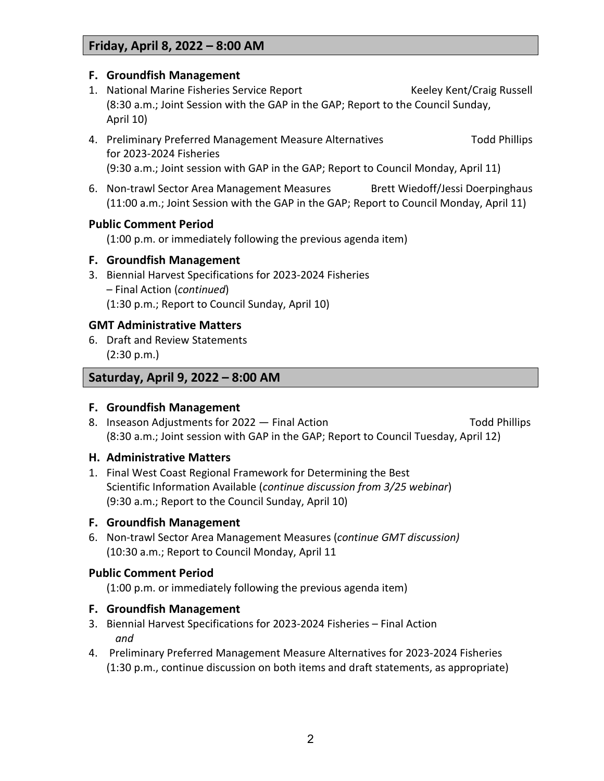### **Friday, April 8, 2022 – 8:00 AM**

### **F. Groundfish Management**

- 1. National Marine Fisheries Service Report Keeley Kent/Craig Russell (8:30 a.m.; Joint Session with the GAP in the GAP; Report to the Council Sunday, April 10)
- 4. Preliminary Preferred Management Measure Alternatives Todd Phillips for 2023-2024 Fisheries (9:30 a.m.; Joint session with GAP in the GAP; Report to Council Monday, April 11)
- 6. Non-trawl Sector Area Management Measures Brett Wiedoff/Jessi Doerpinghaus (11:00 a.m.; Joint Session with the GAP in the GAP; Report to Council Monday, April 11)

### **Public Comment Period**

(1:00 p.m. or immediately following the previous agenda item)

### **F. Groundfish Management**

3. Biennial Harvest Specifications for 2023-2024 Fisheries – Final Action (*continued*) (1:30 p.m.; Report to Council Sunday, April 10)

### **GMT Administrative Matters**

6. Draft and Review Statements (2:30 p.m.)

### **Saturday, April 9, 2022 – 8:00 AM**

### **F. Groundfish Management**

8. Inseason Adjustments for 2022 — Final Action Translation Todd Phillips (8:30 a.m.; Joint session with GAP in the GAP; Report to Council Tuesday, April 12)

### **H. Administrative Matters**

1. Final West Coast Regional Framework for Determining the Best Scientific Information Available (*continue discussion from 3/25 webinar*) (9:30 a.m.; Report to the Council Sunday, April 10)

### **F. Groundfish Management**

6. Non-trawl Sector Area Management Measures (*continue GMT discussion)* (10:30 a.m.; Report to Council Monday, April 11

### **Public Comment Period**

(1:00 p.m. or immediately following the previous agenda item)

### **F. Groundfish Management**

- 3. Biennial Harvest Specifications for 2023-2024 Fisheries Final Action *and*
- 4. Preliminary Preferred Management Measure Alternatives for 2023-2024 Fisheries (1:30 p.m., continue discussion on both items and draft statements, as appropriate)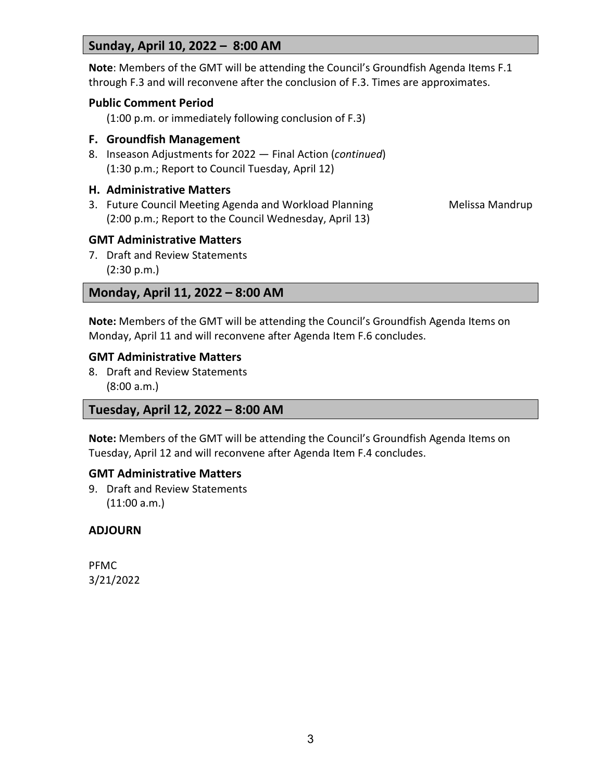### **Sunday, April 10, 2022 – 8:00 AM**

**Note**: Members of the GMT will be attending the Council's Groundfish Agenda Items F.1 through F.3 and will reconvene after the conclusion of F.3. Times are approximates.

### **Public Comment Period**

(1:00 p.m. or immediately following conclusion of F.3)

### **F. Groundfish Management**

8. Inseason Adjustments for 2022 — Final Action (*continued*) (1:30 p.m.; Report to Council Tuesday, April 12)

### **H. Administrative Matters**

3. Future Council Meeting Agenda and Workload Planning Mandro Melissa Mandrup (2:00 p.m.; Report to the Council Wednesday, April 13)

### **GMT Administrative Matters**

7. Draft and Review Statements (2:30 p.m.)

### **Monday, April 11, 2022 – 8:00 AM**

**Note:** Members of the GMT will be attending the Council's Groundfish Agenda Items on Monday, April 11 and will reconvene after Agenda Item F.6 concludes.

### **GMT Administrative Matters**

8. Draft and Review Statements (8:00 a.m.)

### **Tuesday, April 12, 2022 – 8:00 AM**

**Note:** Members of the GMT will be attending the Council's Groundfish Agenda Items on Tuesday, April 12 and will reconvene after Agenda Item F.4 concludes.

### **GMT Administrative Matters**

9. Draft and Review Statements (11:00 a.m.)

### **ADJOURN**

PFMC 3/21/2022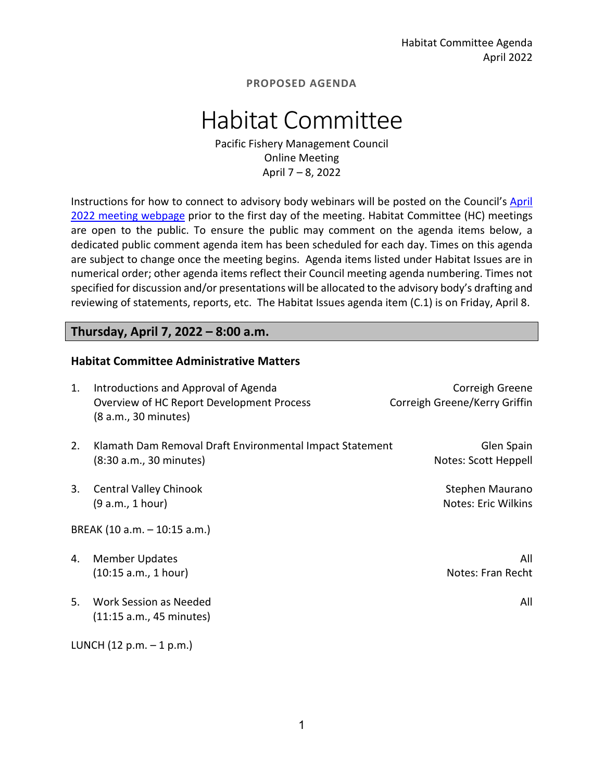## Habitat Committee

Pacific Fishery Management Council Online Meeting April 7 – 8, 2022

Instructions for how to connect to advisory body webinars will be posted on the Council's [April](https://www.pcouncil.org/council_meeting/april-6-13-2022-council-meeting/) 2022 [meeting webpage](https://www.pcouncil.org/council_meeting/april-6-13-2022-council-meeting/) prior to the first day of the meeting. Habitat Committee (HC) meetings are open to the public. To ensure the public may comment on the agenda items below, a dedicated public comment agenda item has been scheduled for each day. Times on this agenda are subject to change once the meeting begins. Agenda items listed under Habitat Issues are in numerical order; other agenda items reflect their Council meeting agenda numbering. Times not specified for discussion and/or presentations will be allocated to the advisory body's drafting and reviewing of statements, reports, etc. The Habitat Issues agenda item (C.1) is on Friday, April 8.

### **Thursday, April 7, 2022 – 8:00 a.m.**

### **Habitat Committee Administrative Matters**

| 1. | Introductions and Approval of Agenda<br>Overview of HC Report Development Process<br>(8 a.m., 30 minutes) | Correigh Greene<br>Correigh Greene/Kerry Griffin |
|----|-----------------------------------------------------------------------------------------------------------|--------------------------------------------------|
| 2. | Klamath Dam Removal Draft Environmental Impact Statement<br>(8:30 a.m., 30 minutes)                       | Glen Spain<br>Notes: Scott Heppell               |
| 3. | <b>Central Valley Chinook</b><br>(9 a.m., 1 hour)                                                         | Stephen Maurano<br>Notes: Eric Wilkins           |
|    | BREAK (10 a.m. - 10:15 a.m.)                                                                              |                                                  |
| 4. | <b>Member Updates</b><br>(10:15 a.m., 1 hour)                                                             | All<br>Notes: Fran Recht                         |
| 5. | Work Session as Needed<br>(11:15 a.m., 45 minutes)                                                        | All                                              |
|    | LUNCH $(12 p.m. - 1 p.m.)$                                                                                |                                                  |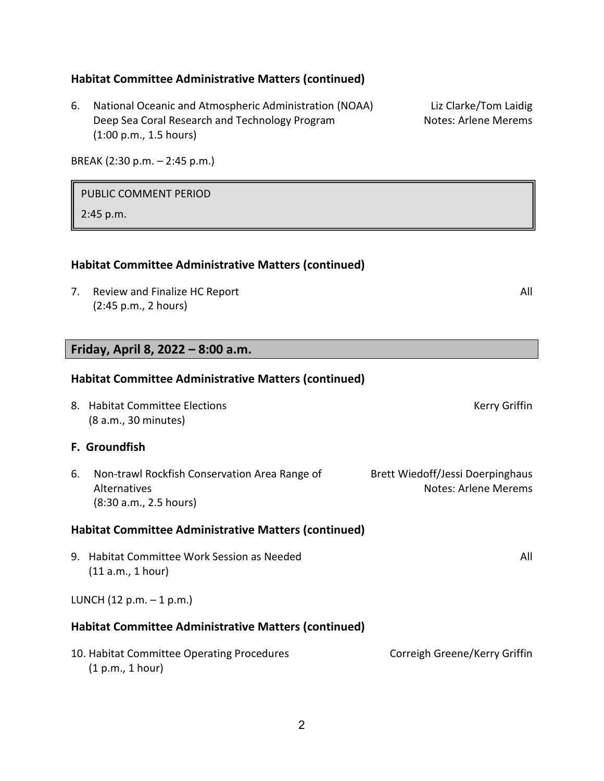### **Habitat Committee Administrative Matters (continued)**

6. National Oceanic and Atmospheric Administration (NOAA) Liz Clarke/Tom Laidig Deep Sea Coral Research and Technology Program Notes: Arlene Merems (1:00 p.m., 1.5 hours)

BREAK (2:30 p.m. – 2:45 p.m.)

#### PUBLIC COMMENT PERIOD

2:45 p.m.

### **Habitat Committee Administrative Matters (continued)**

7. Review and Finalize HC Report All and All and All and All and All and All and All and All and All and All and All and All and All and All and All and All and All and All and All and All and All and All and All and All a (2:45 p.m., 2 hours)

### **Friday, April 8, 2022 – 8:00 a.m.**

## **Habitat Committee Administrative Matters (continued)**

8. Habitat Committee Elections **Kerry Griffin** (8 a.m., 30 minutes)

### **F. Groundfish**

6. Non-trawl Rockfish Conservation Area Range of Brett Wiedoff/Jessi Doerpinghaus Alternatives **Alternatives** Alternatives **Notes:** Arlene Merems (8:30 a.m., 2.5 hours)

#### **Habitat Committee Administrative Matters (continued)**

9. Habitat Committee Work Session as Needed All (11 a.m., 1 hour)

#### LUNCH  $(12 p.m. - 1 p.m.)$

### **Habitat Committee Administrative Matters (continued)**

| 10. Habitat Committee Operating Procedures | Correigh Greene/Kerry Griffin |
|--------------------------------------------|-------------------------------|
| (1 p.m., 1 hour)                           |                               |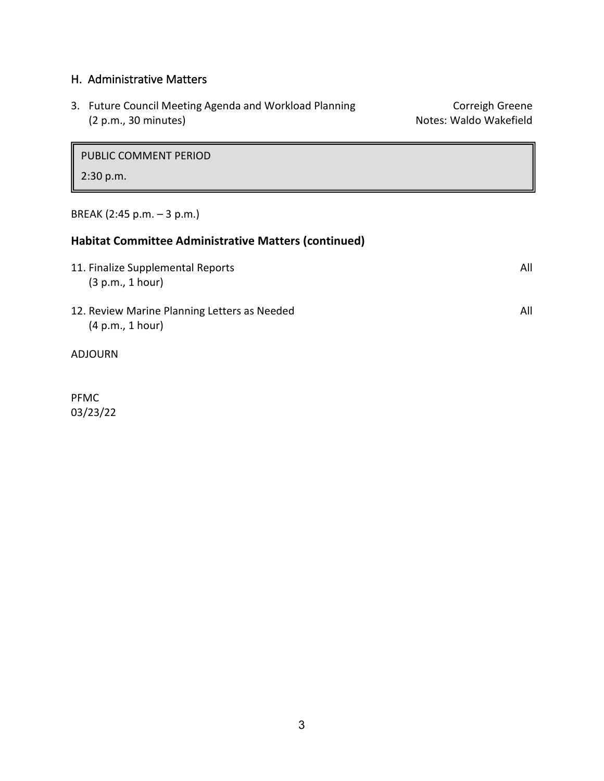### H. Administrative Matters

| 3. Future Council Meeting Agenda and Workload Planning | Correigh Greene        |
|--------------------------------------------------------|------------------------|
| (2 p.m., 30 minutes)                                   | Notes: Waldo Wakefield |

PUBLIC COMMENT PERIOD

### 2:30 p.m.

BREAK (2:45 p.m. – 3 p.m.)

| <b>Habitat Committee Administrative Matters (continued)</b>      |     |  |
|------------------------------------------------------------------|-----|--|
| 11. Finalize Supplemental Reports<br>(3 p.m., 1 hour)            | All |  |
| 12. Review Marine Planning Letters as Needed<br>(4 p.m., 1 hour) | All |  |
| ADJOURN                                                          |     |  |

PFMC 03/23/22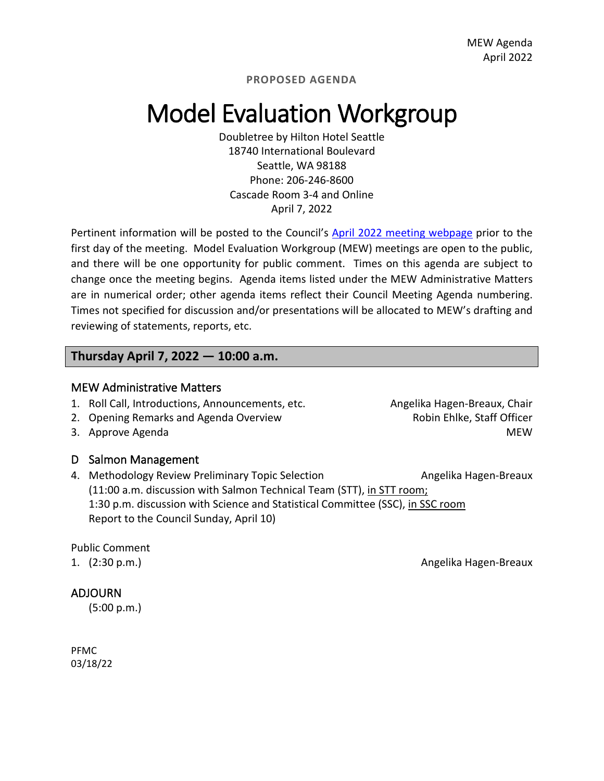## Model Evaluation Workgroup

Doubletree by Hilton Hotel Seattle 18740 International Boulevard Seattle, WA 98188 Phone: 206-246-8600 Cascade Room 3-4 and Online April 7, 2022

Pertinent information will be posted to the Council's [April 2022](https://www.pcouncil.org/council_meeting/april-6-13-2022-council-meeting/) [meeting webpage](https://www.pcouncil.org/council_meeting/april-6-13-2022-council-meeting/) prior to the first day of the meeting. Model Evaluation Workgroup (MEW) meetings are open to the public, and there will be one opportunity for public comment. Times on this agenda are subject to change once the meeting begins. Agenda items listed under the MEW Administrative Matters are in numerical order; other agenda items reflect their Council Meeting Agenda numbering. Times not specified for discussion and/or presentations will be allocated to MEW's drafting and reviewing of statements, reports, etc.

### **Thursday April 7, 2022 — 10:00 a.m.**

### MEW Administrative Matters

- 1. Roll Call, Introductions, Announcements, etc. **Angelika Hagen-Breaux, Chair**
- 2. Opening Remarks and Agenda Overview **Robin Ehlke, Staff Officer**
- 

### D Salmon Management

4. Methodology Review Preliminary Topic Selection **Angelika Hagen-Breaux** (11:00 a.m. discussion with Salmon Technical Team (STT), in STT room; 1:30 p.m. discussion with Science and Statistical Committee (SSC), in SSC room Report to the Council Sunday, April 10)

### Public Comment

### ADJOURN

(5:00 p.m.)

PFMC 03/18/22

3. Approve Agenda MEW (1999) and the set of the set of the set of the set of the set of the set of the set of the set of the set of the set of the set of the set of the set of the set of the set of the set of the set of th

1. (2:30 p.m.) Angelika Hagen-Breaux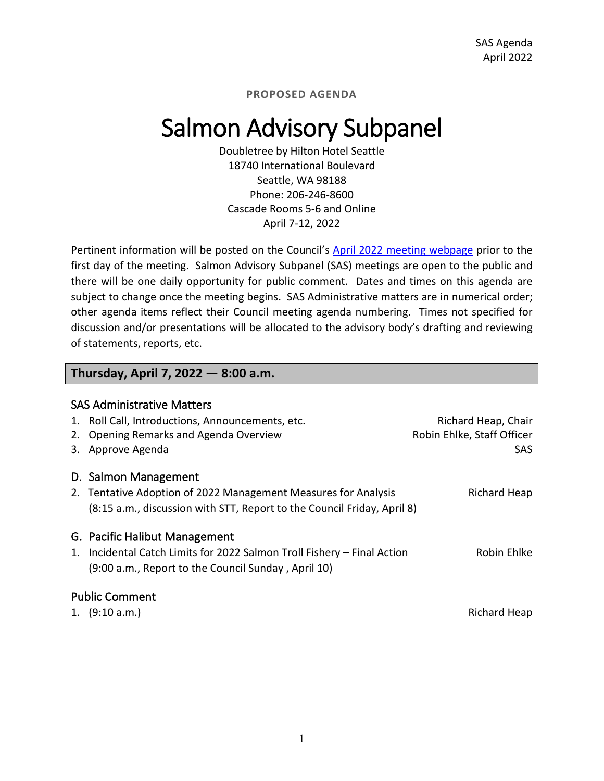## Salmon Advisory Subpanel

Doubletree by Hilton Hotel Seattle 18740 International Boulevard Seattle, WA 98188 Phone: 206-246-8600 Cascade Rooms 5-6 and Online April 7-12, 2022

Pertinent information will be posted on the Council's [April 2022](https://www.pcouncil.org/council_meeting/april-6-13-2022-council-meeting/) [meeting webpage](https://www.pcouncil.org/council_meeting/april-6-13-2022-council-meeting/) prior to the first day of the meeting. Salmon Advisory Subpanel (SAS) meetings are open to the public and there will be one daily opportunity for public comment. Dates and times on this agenda are subject to change once the meeting begins. SAS Administrative matters are in numerical order; other agenda items reflect their Council meeting agenda numbering. Times not specified for discussion and/or presentations will be allocated to the advisory body's drafting and reviewing of statements, reports, etc.

### **Thursday, April 7, 2022 — 8:00 a.m.**

|    | <b>SAS Administrative Matters</b>                                       |                            |
|----|-------------------------------------------------------------------------|----------------------------|
|    | 1. Roll Call, Introductions, Announcements, etc.                        | Richard Heap, Chair        |
| 2. | Opening Remarks and Agenda Overview                                     | Robin Ehlke, Staff Officer |
|    | 3. Approve Agenda                                                       | <b>SAS</b>                 |
|    | D. Salmon Management                                                    |                            |
|    | 2. Tentative Adoption of 2022 Management Measures for Analysis          | Richard Heap               |
|    | (8:15 a.m., discussion with STT, Report to the Council Friday, April 8) |                            |
|    | G. Pacific Halibut Management                                           |                            |
|    | 1. Incidental Catch Limits for 2022 Salmon Troll Fishery – Final Action | Robin Ehlke                |
|    | (9:00 a.m., Report to the Council Sunday, April 10)                     |                            |
|    | <b>Public Comment</b>                                                   |                            |
|    | 1. $(9:10 a.m.)$                                                        | Richard Heap               |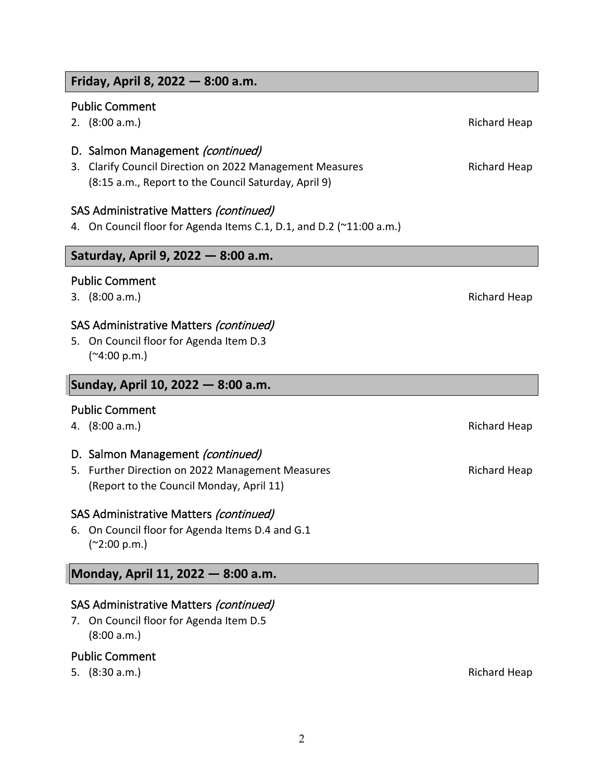### **Friday, April 8, 2022 — 8:00 a.m.**

### Public Comment

2. (8:00 a.m.) **Richard Heap Richard Heap Richard Heap Richard Heap** 

### D. Salmon Management (continued)

3. Clarify Council Direction on 2022 Management Measures **Richard Heap** (8:15 a.m., Report to the Council Saturday, April 9)

### SAS Administrative Matters (continued)

4. On Council floor for Agenda Items C.1, D.1, and D.2 (~11:00 a.m.)

### **Saturday, April 9, 2022 — 8:00 a.m.**

### Public Comment

3. (8:00 a.m.) Richard Heap

### SAS Administrative Matters (continued)

5. On Council floor for Agenda Item D.3 (~4:00 p.m.)

### **Sunday, April 10, 2022 — 8:00 a.m.**

### Public Comment

4. (8:00 a.m.) Richard Heap

### D. Salmon Management (continued)

5. Further Direction on 2022 Management Measures **Richard Heap** Richard Heap (Report to the Council Monday, April 11)

### SAS Administrative Matters (continued)

6. On Council floor for Agenda Items D.4 and G.1 (~2:00 p.m.)

### **Monday, April 11, 2022 — 8:00 a.m.**

### SAS Administrative Matters (continued)

7. On Council floor for Agenda Item D.5 (8:00 a.m.)

### Public Comment

5. (8:30 a.m.) Richard Heap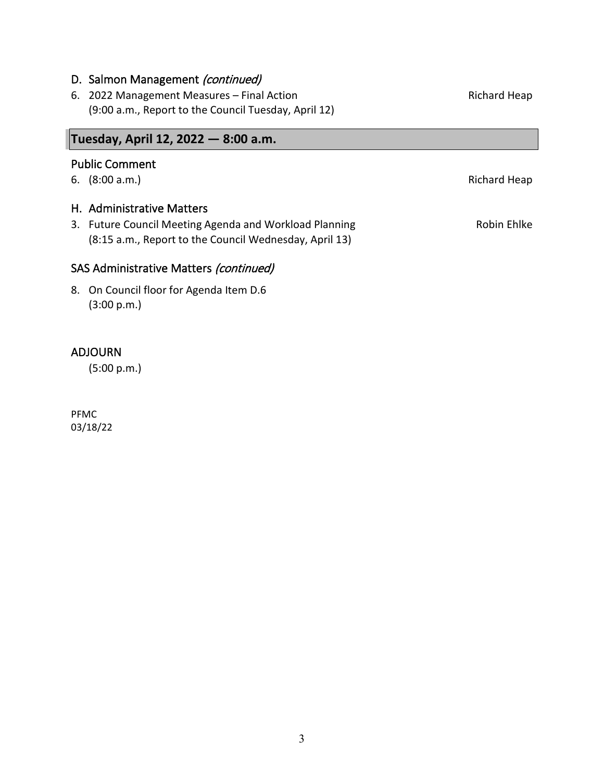### D. Salmon Management (continued)

6. 2022 Management Measures – Final Action Richard Heap (9:00 a.m., Report to the Council Tuesday, April 12)

### **Tuesday, April 12, 2022 — 8:00 a.m.**

### Public Comment

6. (8:00 a.m.) Richard Heap

### H. Administrative Matters

3. Future Council Meeting Agenda and Workload Planning Theorem 2012 Robin Ehlke (8:15 a.m., Report to the Council Wednesday, April 13)

### SAS Administrative Matters (continued)

8. On Council floor for Agenda Item D.6 (3:00 p.m.)

### ADJOURN

(5:00 p.m.)

PFMC 03/18/22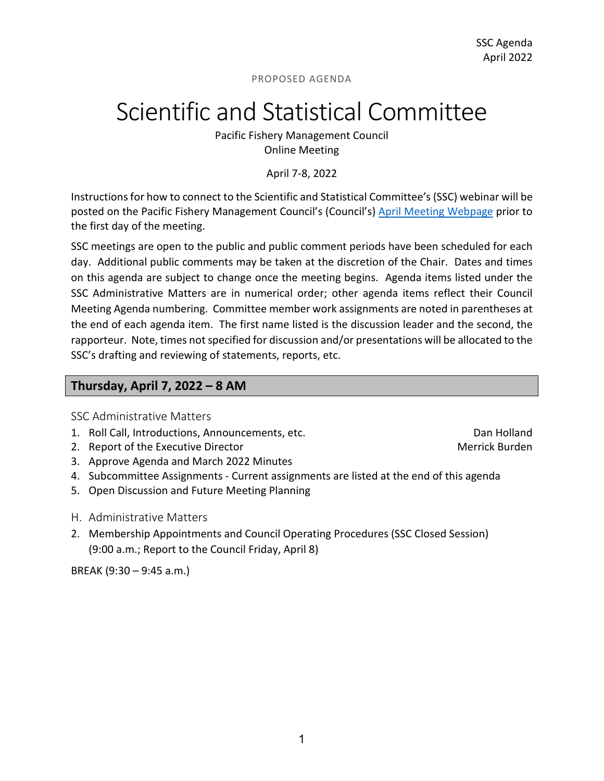## Scientific and Statistical Committee

Pacific Fishery Management Council Online Meeting

April 7-8, 2022

Instructions for how to connect to the Scientific and Statistical Committee's (SSC) webinar will be posted on the Pacific Fishery Management Council's (Council's) [April](https://www.pcouncil.org/council_meeting/april-6-13-2022-council-meeting/) [Meeting Webpage](https://www.pcouncil.org/council_meeting/april-6-13-2022-council-meeting/) prior to the first day of the meeting.

SSC meetings are open to the public and public comment periods have been scheduled for each day. Additional public comments may be taken at the discretion of the Chair. Dates and times on this agenda are subject to change once the meeting begins. Agenda items listed under the SSC Administrative Matters are in numerical order; other agenda items reflect their Council Meeting Agenda numbering. Committee member work assignments are noted in parentheses at the end of each agenda item. The first name listed is the discussion leader and the second, the rapporteur. Note, times not specified for discussion and/or presentations will be allocated to the SSC's drafting and reviewing of statements, reports, etc.

### **Thursday, April 7, 2022 – 8 AM**

SSC Administrative Matters

- 1. Roll Call, Introductions, Announcements, etc. Dan Holland
- 2. Report of the Executive Director Merrick Burden Merrick Burden
- 3. Approve Agenda and March 2022 Minutes
- 4. Subcommittee Assignments Current assignments are listed at the end of this agenda
- 5. Open Discussion and Future Meeting Planning
- H. Administrative Matters
- 2. Membership Appointments and Council Operating Procedures (SSC Closed Session) (9:00 a.m.; Report to the Council Friday, April 8)

BREAK (9:30 – 9:45 a.m.)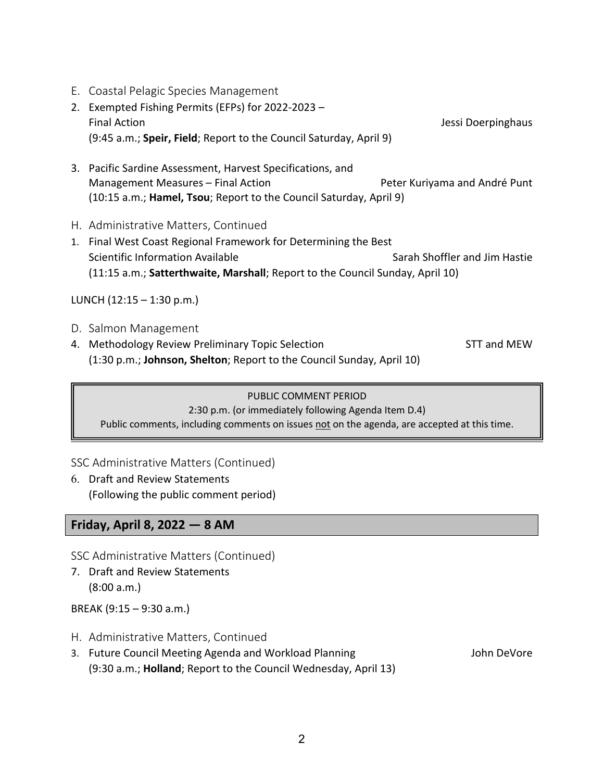- E. Coastal Pelagic Species Management
- 2. Exempted Fishing Permits (EFPs) for 2022-2023 Final Action **Action** Jessi Doerpinghaus **Jessi Doerpinghaus** (9:45 a.m.; **Speir, Field**; Report to the Council Saturday, April 9)
- 3. Pacific Sardine Assessment, Harvest Specifications, and Management Measures – Final Action **Peter Kuriyama and André Punt** (10:15 a.m.; **Hamel, Tsou**; Report to the Council Saturday, April 9)
- H. Administrative Matters, Continued
- 1. Final West Coast Regional Framework for Determining the Best Scientific Information Available Sarah Shoffler and Jim Hastie (11:15 a.m.; **Satterthwaite, Marshall**; Report to the Council Sunday, April 10)

LUNCH  $(12:15 - 1:30 \text{ p.m.})$ 

- D. Salmon Management
- 4. Methodology Review Preliminary Topic Selection STT and MEW STT and MEW (1:30 p.m.; **Johnson, Shelton**; Report to the Council Sunday, April 10)

### PUBLIC COMMENT PERIOD 2:30 p.m. (or immediately following Agenda Item D.4) Public comments, including comments on issues not on the agenda, are accepted at this time.

### SSC Administrative Matters (Continued)

6. Draft and Review Statements (Following the public comment period)

### **Friday, April 8, 2022 — 8 AM**

SSC Administrative Matters (Continued)

7. Draft and Review Statements (8:00 a.m.)

BREAK (9:15 – 9:30 a.m.)

- H. Administrative Matters, Continued
- 3. Future Council Meeting Agenda and Workload Planning Theore and Morte John DeVore (9:30 a.m.; **Holland**; Report to the Council Wednesday, April 13)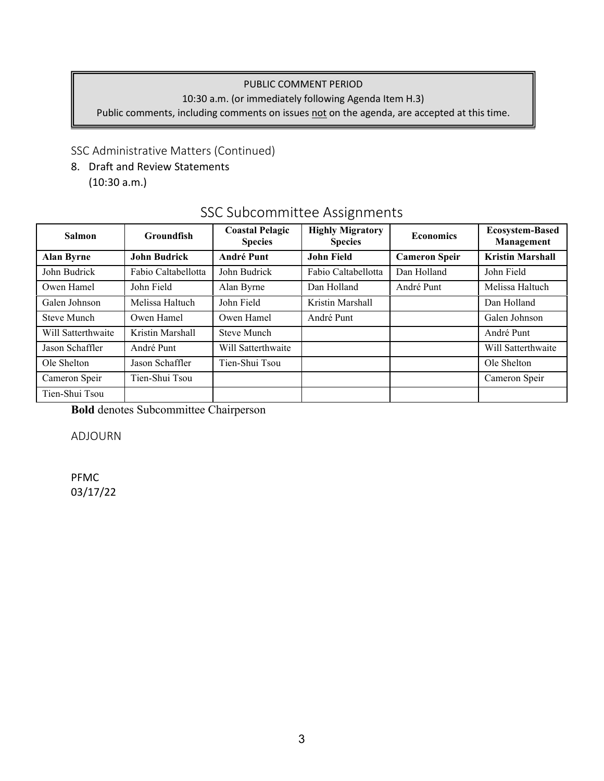### PUBLIC COMMENT PERIOD

10:30 a.m. (or immediately following Agenda Item H.3)

Public comments, including comments on issues not on the agenda, are accepted at this time.

### SSC Administrative Matters (Continued)

8. Draft and Review Statements (10:30 a.m.)

### SSC Subcommittee Assignments

| <b>Salmon</b>      | <b>Groundfish</b>   | <b>Highly Migratory</b><br><b>Coastal Pelagic</b><br><b>Economics</b><br><b>Species</b><br><b>Species</b> |                     |                      | <b>Ecosystem-Based</b><br>Management |  |
|--------------------|---------------------|-----------------------------------------------------------------------------------------------------------|---------------------|----------------------|--------------------------------------|--|
| <b>Alan Byrne</b>  | <b>John Budrick</b> | <b>André Punt</b>                                                                                         | <b>John Field</b>   | <b>Cameron Speir</b> | <b>Kristin Marshall</b>              |  |
| John Budrick       | Fabio Caltabellotta | John Budrick                                                                                              | Fabio Caltabellotta | Dan Holland          | John Field                           |  |
| Owen Hamel         | John Field          | Alan Byrne                                                                                                | Dan Holland         | André Punt           | Melissa Haltuch                      |  |
| Galen Johnson      | Melissa Haltuch     | John Field                                                                                                | Kristin Marshall    |                      | Dan Holland                          |  |
| Steve Munch        | Owen Hamel          | Owen Hamel                                                                                                | André Punt          |                      | Galen Johnson                        |  |
| Will Satterthwaite | Kristin Marshall    | <b>Steve Munch</b>                                                                                        |                     |                      | André Punt                           |  |
| Jason Schaffler    | André Punt          | Will Satterthwaite                                                                                        |                     |                      | Will Satterthwaite                   |  |
| Ole Shelton        | Jason Schaffler     | Tien-Shui Tsou                                                                                            |                     |                      | Ole Shelton                          |  |
| Cameron Speir      | Tien-Shui Tsou      |                                                                                                           |                     |                      | Cameron Speir                        |  |
| Tien-Shui Tsou     |                     |                                                                                                           |                     |                      |                                      |  |

**Bold** denotes Subcommittee Chairperson

ADJOURN

PFMC 03/17/22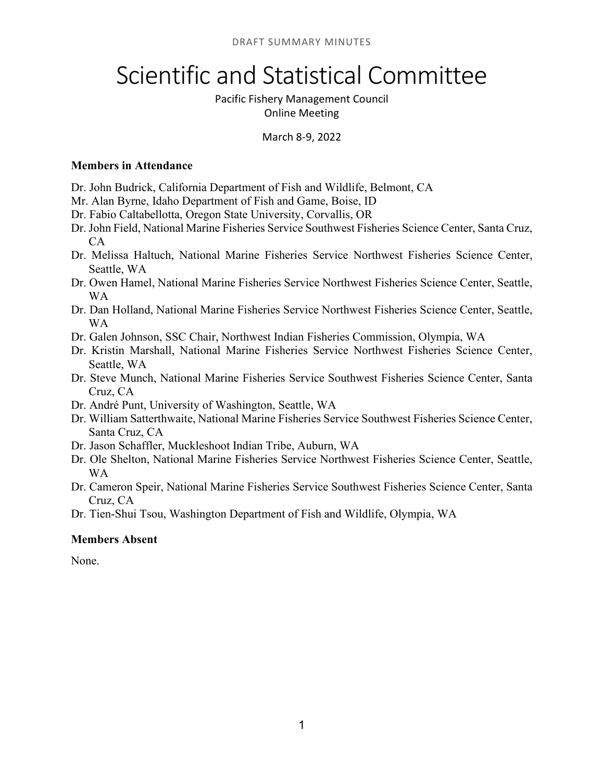## Scientific and Statistical Committee

### Pacific Fishery Management Council Online Meeting

### March 8-9, 2022

### **Members in Attendance**

- Dr. John Budrick, California Department of Fish and Wildlife, Belmont, CA
- Mr. Alan Byrne, Idaho Department of Fish and Game, Boise, ID
- Dr. Fabio Caltabellotta, Oregon State University, Corvallis, OR
- Dr. John Field, National Marine Fisheries Service Southwest Fisheries Science Center, Santa Cruz, CA
- Dr. Melissa Haltuch, National Marine Fisheries Service Northwest Fisheries Science Center, Seattle, WA
- Dr. Owen Hamel, National Marine Fisheries Service Northwest Fisheries Science Center, Seattle, WA
- Dr. Dan Holland, National Marine Fisheries Service Northwest Fisheries Science Center, Seattle, WA
- Dr. Galen Johnson, SSC Chair, Northwest Indian Fisheries Commission, Olympia, WA
- Dr. Kristin Marshall, National Marine Fisheries Service Northwest Fisheries Science Center, Seattle, WA
- Dr. Steve Munch, National Marine Fisheries Service Southwest Fisheries Science Center, Santa Cruz, CA
- Dr. André Punt, University of Washington, Seattle, WA
- Dr. William Satterthwaite, National Marine Fisheries Service Southwest Fisheries Science Center, Santa Cruz, CA
- Dr. Jason Schaffler, Muckleshoot Indian Tribe, Auburn, WA
- Dr. Ole Shelton, National Marine Fisheries Service Northwest Fisheries Science Center, Seattle, WA
- Dr. Cameron Speir, National Marine Fisheries Service Southwest Fisheries Science Center, Santa Cruz, CA
- Dr. Tien-Shui Tsou, Washington Department of Fish and Wildlife, Olympia, WA

### **Members Absent**

None.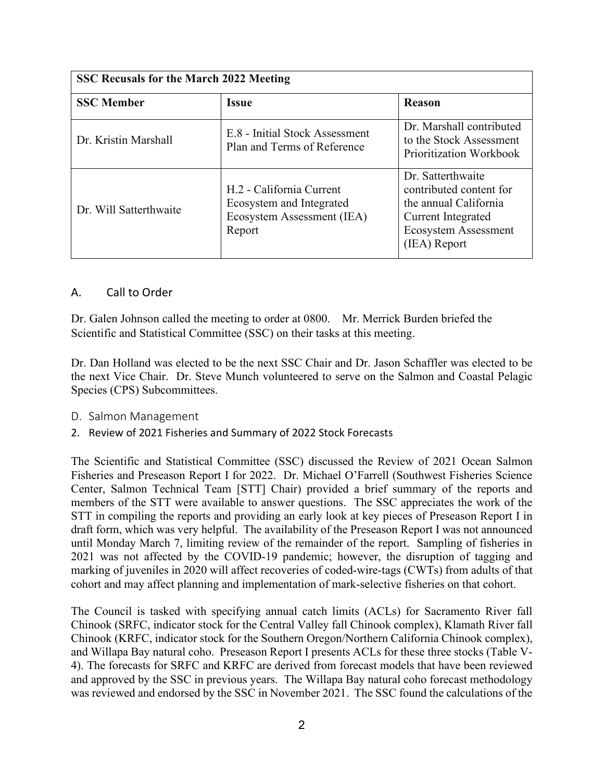| <b>SSC Recusals for the March 2022 Meeting</b> |                                                                                              |                                                                                                                                            |  |  |  |
|------------------------------------------------|----------------------------------------------------------------------------------------------|--------------------------------------------------------------------------------------------------------------------------------------------|--|--|--|
| <b>SSC Member</b>                              | <b>Issue</b>                                                                                 | <b>Reason</b>                                                                                                                              |  |  |  |
| Dr. Kristin Marshall                           | E.8 - Initial Stock Assessment<br>Plan and Terms of Reference                                | Dr. Marshall contributed<br>to the Stock Assessment<br>Prioritization Workbook                                                             |  |  |  |
| Dr. Will Satterthwaite                         | H.2 - California Current<br>Ecosystem and Integrated<br>Ecosystem Assessment (IEA)<br>Report | Dr. Satterthwaite<br>contributed content for<br>the annual California<br>Current Integrated<br><b>Ecosystem Assessment</b><br>(IEA) Report |  |  |  |

### A. Call to Order

Dr. Galen Johnson called the meeting to order at 0800. Mr. Merrick Burden briefed the Scientific and Statistical Committee (SSC) on their tasks at this meeting.

Dr. Dan Holland was elected to be the next SSC Chair and Dr. Jason Schaffler was elected to be the next Vice Chair. Dr. Steve Munch volunteered to serve on the Salmon and Coastal Pelagic Species (CPS) Subcommittees.

- D. Salmon Management
- 2. Review of 2021 Fisheries and Summary of 2022 Stock Forecasts

The Scientific and Statistical Committee (SSC) discussed the Review of 2021 Ocean Salmon Fisheries and Preseason Report I for 2022. Dr. Michael O'Farrell (Southwest Fisheries Science Center, Salmon Technical Team [STT] Chair) provided a brief summary of the reports and members of the STT were available to answer questions. The SSC appreciates the work of the STT in compiling the reports and providing an early look at key pieces of Preseason Report I in draft form, which was very helpful. The availability of the Preseason Report I was not announced until Monday March 7, limiting review of the remainder of the report. Sampling of fisheries in 2021 was not affected by the COVID-19 pandemic; however, the disruption of tagging and marking of juveniles in 2020 will affect recoveries of coded-wire-tags (CWTs) from adults of that cohort and may affect planning and implementation of mark-selective fisheries on that cohort.

The Council is tasked with specifying annual catch limits (ACLs) for Sacramento River fall Chinook (SRFC, indicator stock for the Central Valley fall Chinook complex), Klamath River fall Chinook (KRFC, indicator stock for the Southern Oregon/Northern California Chinook complex), and Willapa Bay natural coho. Preseason Report I presents ACLs for these three stocks (Table V-4). The forecasts for SRFC and KRFC are derived from forecast models that have been reviewed and approved by the SSC in previous years. The Willapa Bay natural coho forecast methodology was reviewed and endorsed by the SSC in November 2021. The SSC found the calculations of the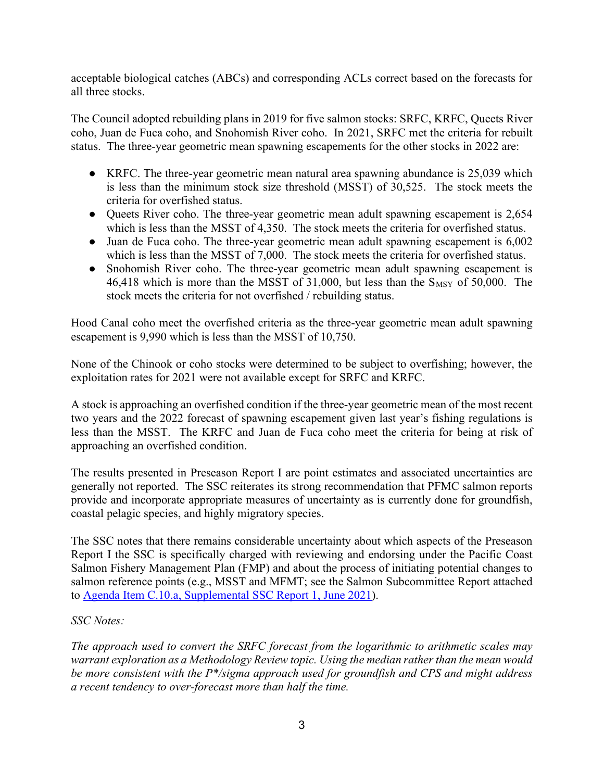acceptable biological catches (ABCs) and corresponding ACLs correct based on the forecasts for all three stocks.

The Council adopted rebuilding plans in 2019 for five salmon stocks: SRFC, KRFC, Queets River coho, Juan de Fuca coho, and Snohomish River coho. In 2021, SRFC met the criteria for rebuilt status. The three-year geometric mean spawning escapements for the other stocks in 2022 are:

- KRFC. The three-year geometric mean natural area spawning abundance is 25,039 which is less than the minimum stock size threshold (MSST) of 30,525. The stock meets the criteria for overfished status.
- Queets River coho. The three-year geometric mean adult spawning escapement is 2,654 which is less than the MSST of 4,350. The stock meets the criteria for overfished status.
- Juan de Fuca coho. The three-year geometric mean adult spawning escapement is 6,002 which is less than the MSST of 7,000. The stock meets the criteria for overfished status.
- Snohomish River coho. The three-year geometric mean adult spawning escapement is 46,418 which is more than the MSST of  $31,000$ , but less than the  $S_{MSY}$  of  $50,000$ . The stock meets the criteria for not overfished / rebuilding status.

Hood Canal coho meet the overfished criteria as the three-year geometric mean adult spawning escapement is 9,990 which is less than the MSST of 10,750.

None of the Chinook or coho stocks were determined to be subject to overfishing; however, the exploitation rates for 2021 were not available except for SRFC and KRFC.

A stock is approaching an overfished condition if the three-year geometric mean of the most recent two years and the 2022 forecast of spawning escapement given last year's fishing regulations is less than the MSST. The KRFC and Juan de Fuca coho meet the criteria for being at risk of approaching an overfished condition.

The results presented in Preseason Report I are point estimates and associated uncertainties are generally not reported. The SSC reiterates its strong recommendation that PFMC salmon reports provide and incorporate appropriate measures of uncertainty as is currently done for groundfish, coastal pelagic species, and highly migratory species.

The SSC notes that there remains considerable uncertainty about which aspects of the Preseason Report I the SSC is specifically charged with reviewing and endorsing under the Pacific Coast Salmon Fishery Management Plan (FMP) and about the process of initiating potential changes to salmon reference points (e.g., MSST and MFMT; see the Salmon Subcommittee Report attached to [Agenda Item C.10.a, Supplemental SSC Report 1, June 2021\)](https://www.pcouncil.org/documents/2021/06/c-10-a-supplemental-ssc-report-1.pdf/).

### *SSC Notes:*

*The approach used to convert the SRFC forecast from the logarithmic to arithmetic scales may warrant exploration as a Methodology Review topic. Using the median rather than the mean would be more consistent with the P\*/sigma approach used for groundfish and CPS and might address a recent tendency to over-forecast more than half the time.*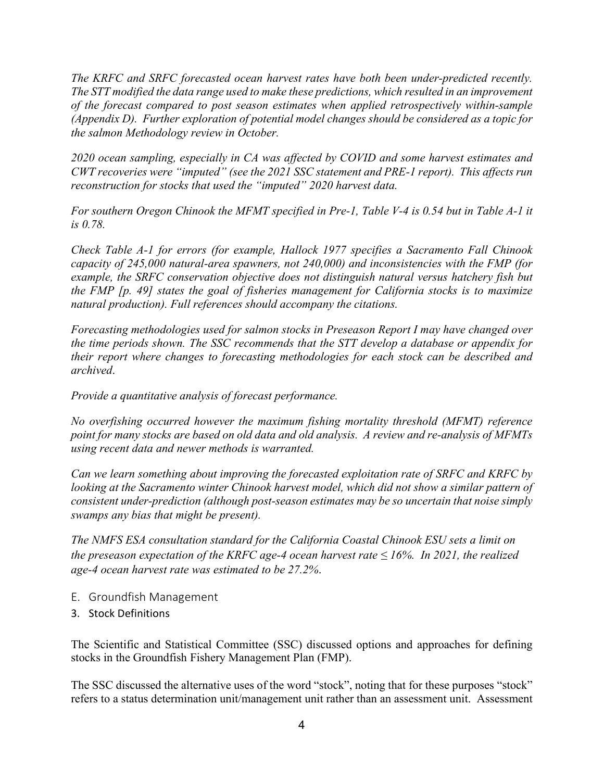*The KRFC and SRFC forecasted ocean harvest rates have both been under-predicted recently. The STT modified the data range used to make these predictions, which resulted in an improvement of the forecast compared to post season estimates when applied retrospectively within-sample (Appendix D). Further exploration of potential model changes should be considered as a topic for the salmon Methodology review in October.*

*2020 ocean sampling, especially in CA was affected by COVID and some harvest estimates and CWT recoveries were "imputed" (see the 2021 SSC statement and PRE-1 report). This affects run reconstruction for stocks that used the "imputed" 2020 harvest data.*

*For southern Oregon Chinook the MFMT specified in Pre-1, Table V-4 is 0.54 but in Table A-1 it is 0.78.*

*Check Table A-1 for errors (for example, Hallock 1977 specifies a Sacramento Fall Chinook capacity of 245,000 natural-area spawners, not 240,000) and inconsistencies with the FMP (for example, the SRFC conservation objective does not distinguish natural versus hatchery fish but the FMP [p. 49] states the goal of fisheries management for California stocks is to maximize natural production). Full references should accompany the citations.*

*Forecasting methodologies used for salmon stocks in Preseason Report I may have changed over the time periods shown. The SSC recommends that the STT develop a database or appendix for their report where changes to forecasting methodologies for each stock can be described and archived*.

*Provide a quantitative analysis of forecast performance.*

*No overfishing occurred however the maximum fishing mortality threshold (MFMT) reference point for many stocks are based on old data and old analysis. A review and re-analysis of MFMTs using recent data and newer methods is warranted.* 

*Can we learn something about improving the forecasted exploitation rate of SRFC and KRFC by looking at the Sacramento winter Chinook harvest model, which did not show a similar pattern of consistent under-prediction (although post-season estimates may be so uncertain that noise simply swamps any bias that might be present).*

*The NMFS ESA consultation standard for the California Coastal Chinook ESU sets a limit on the preseason expectation of the KRFC age-4 ocean harvest rate ≤ 16%. In 2021, the realized age-4 ocean harvest rate was estimated to be 27.2%*.

- E. Groundfish Management
- 3. Stock Definitions

The Scientific and Statistical Committee (SSC) discussed options and approaches for defining stocks in the Groundfish Fishery Management Plan (FMP).

The SSC discussed the alternative uses of the word "stock", noting that for these purposes "stock" refers to a status determination unit/management unit rather than an assessment unit. Assessment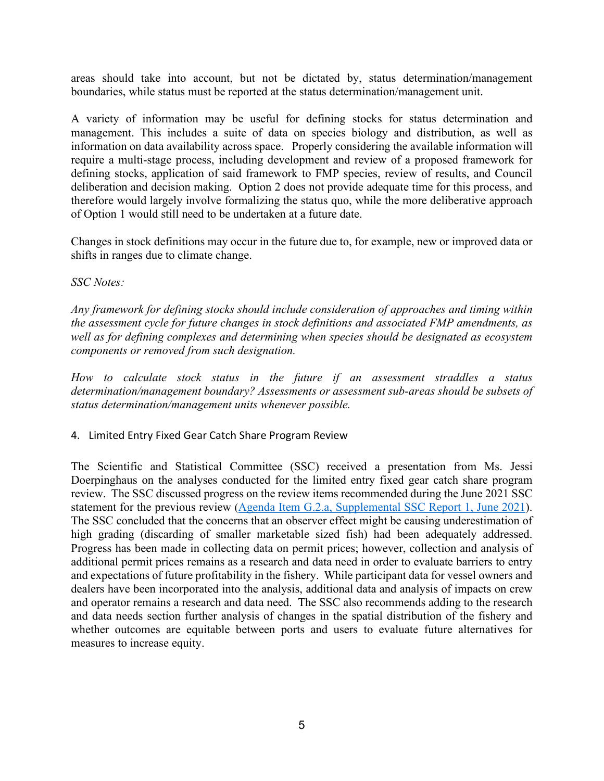areas should take into account, but not be dictated by, status determination/management boundaries, while status must be reported at the status determination/management unit.

A variety of information may be useful for defining stocks for status determination and management. This includes a suite of data on species biology and distribution, as well as information on data availability across space. Properly considering the available information will require a multi-stage process, including development and review of a proposed framework for defining stocks, application of said framework to FMP species, review of results, and Council deliberation and decision making. Option 2 does not provide adequate time for this process, and therefore would largely involve formalizing the status quo, while the more deliberative approach of Option 1 would still need to be undertaken at a future date.

Changes in stock definitions may occur in the future due to, for example, new or improved data or shifts in ranges due to climate change.

### *SSC Notes:*

*Any framework for defining stocks should include consideration of approaches and timing within the assessment cycle for future changes in stock definitions and associated FMP amendments, as well as for defining complexes and determining when species should be designated as ecosystem components or removed from such designation.* 

*How to calculate stock status in the future if an assessment straddles a status determination/management boundary? Assessments or assessment sub-areas should be subsets of status determination/management units whenever possible.*

### 4. Limited Entry Fixed Gear Catch Share Program Review

The Scientific and Statistical Committee (SSC) received a presentation from Ms. Jessi Doerpinghaus on the analyses conducted for the limited entry fixed gear catch share program review. The SSC discussed progress on the review items recommended during the June 2021 SSC statement for the previous review [\(Agenda Item G.2.a, Supplemental SSC Report 1, June 2021\)](https://www.pcouncil.org/documents/2021/06/g-2-a-supplemental-ssc-report-1-2.pdf/). The SSC concluded that the concerns that an observer effect might be causing underestimation of high grading (discarding of smaller marketable sized fish) had been adequately addressed. Progress has been made in collecting data on permit prices; however, collection and analysis of additional permit prices remains as a research and data need in order to evaluate barriers to entry and expectations of future profitability in the fishery. While participant data for vessel owners and dealers have been incorporated into the analysis, additional data and analysis of impacts on crew and operator remains a research and data need. The SSC also recommends adding to the research and data needs section further analysis of changes in the spatial distribution of the fishery and whether outcomes are equitable between ports and users to evaluate future alternatives for measures to increase equity.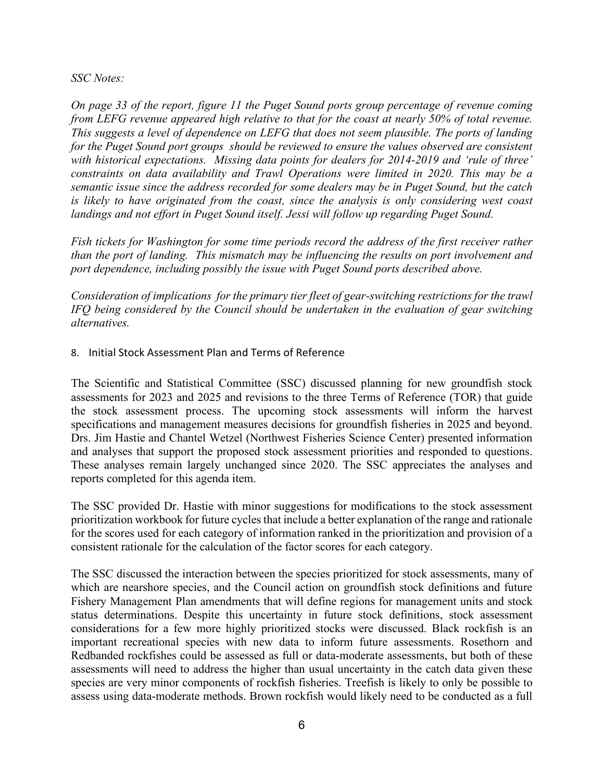*SSC Notes:*

*On page 33 of the report, figure 11 the Puget Sound ports group percentage of revenue coming from LEFG revenue appeared high relative to that for the coast at nearly 50% of total revenue. This suggests a level of dependence on LEFG that does not seem plausible. The ports of landing for the Puget Sound port groups should be reviewed to ensure the values observed are consistent with historical expectations. Missing data points for dealers for 2014-2019 and 'rule of three' constraints on data availability and Trawl Operations were limited in 2020. This may be a semantic issue since the address recorded for some dealers may be in Puget Sound, but the catch is likely to have originated from the coast, since the analysis is only considering west coast landings and not effort in Puget Sound itself. Jessi will follow up regarding Puget Sound.*

*Fish tickets for Washington for some time periods record the address of the first receiver rather than the port of landing. This mismatch may be influencing the results on port involvement and port dependence, including possibly the issue with Puget Sound ports described above.*

*Consideration of implications for the primary tier fleet of gear-switching restrictions for the trawl IFQ being considered by the Council should be undertaken in the evaluation of gear switching alternatives.*

8. Initial Stock Assessment Plan and Terms of Reference

The Scientific and Statistical Committee (SSC) discussed planning for new groundfish stock assessments for 2023 and 2025 and revisions to the three Terms of Reference (TOR) that guide the stock assessment process. The upcoming stock assessments will inform the harvest specifications and management measures decisions for groundfish fisheries in 2025 and beyond. Drs. Jim Hastie and Chantel Wetzel (Northwest Fisheries Science Center) presented information and analyses that support the proposed stock assessment priorities and responded to questions. These analyses remain largely unchanged since 2020. The SSC appreciates the analyses and reports completed for this agenda item.

The SSC provided Dr. Hastie with minor suggestions for modifications to the stock assessment prioritization workbook for future cycles that include a better explanation of the range and rationale for the scores used for each category of information ranked in the prioritization and provision of a consistent rationale for the calculation of the factor scores for each category.

The SSC discussed the interaction between the species prioritized for stock assessments, many of which are nearshore species, and the Council action on groundfish stock definitions and future Fishery Management Plan amendments that will define regions for management units and stock status determinations. Despite this uncertainty in future stock definitions, stock assessment considerations for a few more highly prioritized stocks were discussed. Black rockfish is an important recreational species with new data to inform future assessments. Rosethorn and Redbanded rockfishes could be assessed as full or data-moderate assessments, but both of these assessments will need to address the higher than usual uncertainty in the catch data given these species are very minor components of rockfish fisheries. Treefish is likely to only be possible to assess using data-moderate methods. Brown rockfish would likely need to be conducted as a full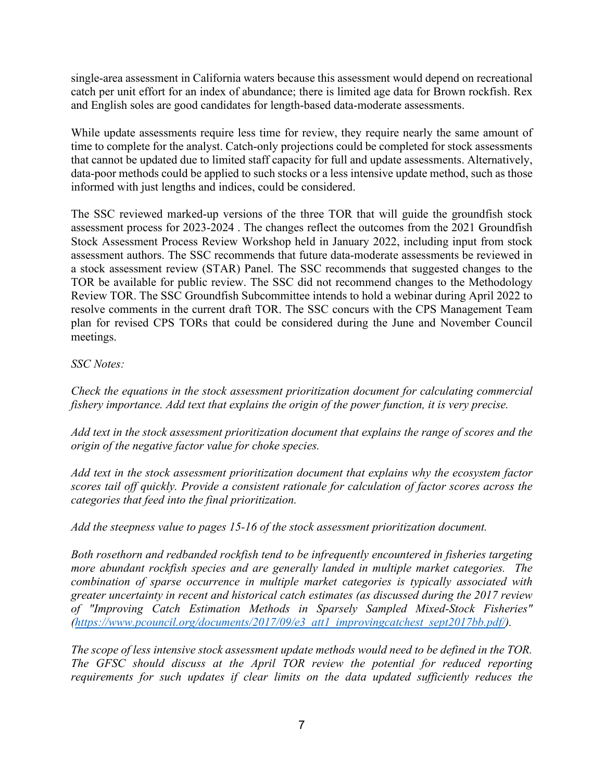single-area assessment in California waters because this assessment would depend on recreational catch per unit effort for an index of abundance; there is limited age data for Brown rockfish. Rex and English soles are good candidates for length-based data-moderate assessments.

While update assessments require less time for review, they require nearly the same amount of time to complete for the analyst. Catch-only projections could be completed for stock assessments that cannot be updated due to limited staff capacity for full and update assessments. Alternatively, data-poor methods could be applied to such stocks or a less intensive update method, such as those informed with just lengths and indices, could be considered.

The SSC reviewed marked-up versions of the three TOR that will guide the groundfish stock assessment process for 2023-2024 . The changes reflect the outcomes from the 2021 Groundfish Stock Assessment Process Review Workshop held in January 2022, including input from stock assessment authors. The SSC recommends that future data-moderate assessments be reviewed in a stock assessment review (STAR) Panel. The SSC recommends that suggested changes to the TOR be available for public review. The SSC did not recommend changes to the Methodology Review TOR. The SSC Groundfish Subcommittee intends to hold a webinar during April 2022 to resolve comments in the current draft TOR. The SSC concurs with the CPS Management Team plan for revised CPS TORs that could be considered during the June and November Council meetings.

### *SSC Notes:*

*Check the equations in the stock assessment prioritization document for calculating commercial fishery importance. Add text that explains the origin of the power function, it is very precise.* 

*Add text in the stock assessment prioritization document that explains the range of scores and the origin of the negative factor value for choke species.* 

*Add text in the stock assessment prioritization document that explains why the ecosystem factor scores tail off quickly. Provide a consistent rationale for calculation of factor scores across the categories that feed into the final prioritization.* 

*Add the steepness value to pages 15-16 of the stock assessment prioritization document.* 

*Both rosethorn and redbanded rockfish tend to be infrequently encountered in fisheries targeting more abundant rockfish species and are generally landed in multiple market categories. The combination of sparse occurrence in multiple market categories is typically associated with greater uncertainty in recent and historical catch estimates (as discussed during the 2017 review of "Improving Catch Estimation Methods in Sparsely Sampled Mixed-Stock Fisheries" [\(https://www.pcouncil.org/documents/2017/09/e3\\_att1\\_improvingcatchest\\_sept2017bb.pdf/\)](https://www.pcouncil.org/documents/2017/09/e3_att1_improvingcatchest_sept2017bb.pdf/).*

*The scope of less intensive stock assessment update methods would need to be defined in the TOR. The GFSC should discuss at the April TOR review the potential for reduced reporting requirements for such updates if clear limits on the data updated sufficiently reduces the*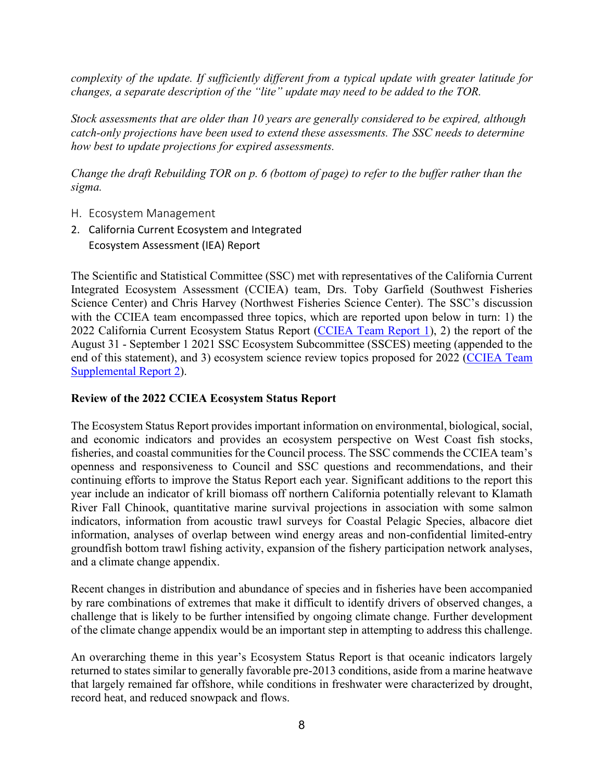*complexity of the update. If sufficiently different from a typical update with greater latitude for changes, a separate description of the "lite" update may need to be added to the TOR.*

*Stock assessments that are older than 10 years are generally considered to be expired, although catch-only projections have been used to extend these assessments. The SSC needs to determine how best to update projections for expired assessments.* 

*Change the draft Rebuilding TOR on p. 6 (bottom of page) to refer to the buffer rather than the sigma.* 

- H. Ecosystem Management
- 2. California Current Ecosystem and Integrated Ecosystem Assessment (IEA) Report

The Scientific and Statistical Committee (SSC) met with representatives of the California Current Integrated Ecosystem Assessment (CCIEA) team, Drs. Toby Garfield (Southwest Fisheries Science Center) and Chris Harvey (Northwest Fisheries Science Center). The SSC's discussion with the CCIEA team encompassed three topics, which are reported upon below in turn: 1) the 2022 California Current Ecosystem Status Report [\(CCIEA Team Report 1\)](https://www.pcouncil.org/documents/2022/02/h-2-a-cciea-team-report-1-2021-2022-california-current-ecosystem-status-report-and-appendices.pdf/), 2) the report of the August 31 - September 1 2021 SSC Ecosystem Subcommittee (SSCES) meeting (appended to the end of this statement), and 3) ecosystem science review topics proposed for 2022 (CCIEA Team [Supplemental Report 2\)](https://www.pcouncil.org/documents/2022/03/h-2-a-supplemental-cciea-team-report-2.pdf/).

### **Review of the 2022 CCIEA Ecosystem Status Report**

The Ecosystem Status Report provides important information on environmental, biological, social, and economic indicators and provides an ecosystem perspective on West Coast fish stocks, fisheries, and coastal communities for the Council process. The SSC commends the CCIEA team's openness and responsiveness to Council and SSC questions and recommendations, and their continuing efforts to improve the Status Report each year. Significant additions to the report this year include an indicator of krill biomass off northern California potentially relevant to Klamath River Fall Chinook, quantitative marine survival projections in association with some salmon indicators, information from acoustic trawl surveys for Coastal Pelagic Species, albacore diet information, analyses of overlap between wind energy areas and non-confidential limited-entry groundfish bottom trawl fishing activity, expansion of the fishery participation network analyses, and a climate change appendix.

Recent changes in distribution and abundance of species and in fisheries have been accompanied by rare combinations of extremes that make it difficult to identify drivers of observed changes, a challenge that is likely to be further intensified by ongoing climate change. Further development of the climate change appendix would be an important step in attempting to address this challenge.

An overarching theme in this year's Ecosystem Status Report is that oceanic indicators largely returned to states similar to generally favorable pre-2013 conditions, aside from a marine heatwave that largely remained far offshore, while conditions in freshwater were characterized by drought, record heat, and reduced snowpack and flows.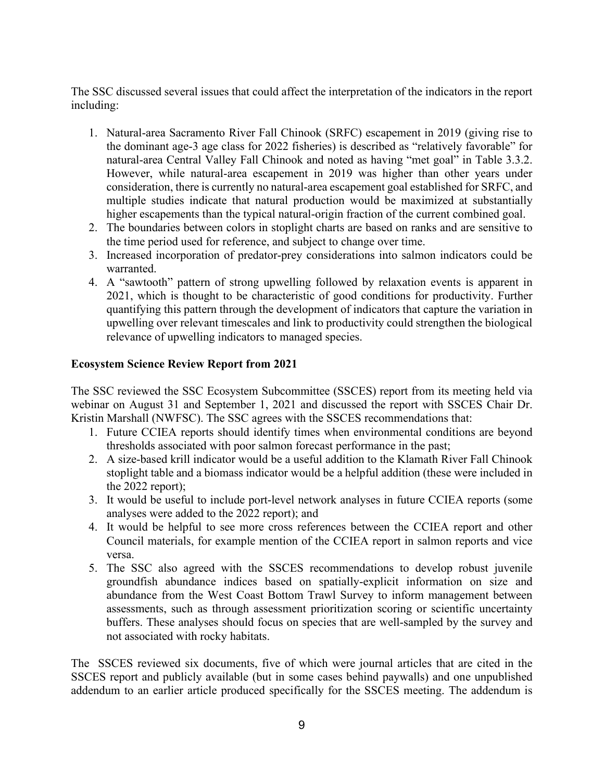The SSC discussed several issues that could affect the interpretation of the indicators in the report including:

- 1. Natural-area Sacramento River Fall Chinook (SRFC) escapement in 2019 (giving rise to the dominant age-3 age class for 2022 fisheries) is described as "relatively favorable" for natural-area Central Valley Fall Chinook and noted as having "met goal" in Table 3.3.2. However, while natural-area escapement in 2019 was higher than other years under consideration, there is currently no natural-area escapement goal established for SRFC, and multiple studies indicate that natural production would be maximized at substantially higher escapements than the typical natural-origin fraction of the current combined goal.
- 2. The boundaries between colors in stoplight charts are based on ranks and are sensitive to the time period used for reference, and subject to change over time.
- 3. Increased incorporation of predator-prey considerations into salmon indicators could be warranted.
- 4. A "sawtooth" pattern of strong upwelling followed by relaxation events is apparent in 2021, which is thought to be characteristic of good conditions for productivity. Further quantifying this pattern through the development of indicators that capture the variation in upwelling over relevant timescales and link to productivity could strengthen the biological relevance of upwelling indicators to managed species.

### **Ecosystem Science Review Report from 2021**

The SSC reviewed the SSC Ecosystem Subcommittee (SSCES) report from its meeting held via webinar on August 31 and September 1, 2021 and discussed the report with SSCES Chair Dr. Kristin Marshall (NWFSC). The SSC agrees with the SSCES recommendations that:

- 1. Future CCIEA reports should identify times when environmental conditions are beyond thresholds associated with poor salmon forecast performance in the past;
- 2. A size-based krill indicator would be a useful addition to the Klamath River Fall Chinook stoplight table and a biomass indicator would be a helpful addition (these were included in the 2022 report);
- 3. It would be useful to include port-level network analyses in future CCIEA reports (some analyses were added to the 2022 report); and
- 4. It would be helpful to see more cross references between the CCIEA report and other Council materials, for example mention of the CCIEA report in salmon reports and vice versa.
- 5. The SSC also agreed with the SSCES recommendations to develop robust juvenile groundfish abundance indices based on spatially-explicit information on size and abundance from the West Coast Bottom Trawl Survey to inform management between assessments, such as through assessment prioritization scoring or scientific uncertainty buffers. These analyses should focus on species that are well-sampled by the survey and not associated with rocky habitats.

The SSCES reviewed six documents, five of which were journal articles that are cited in the SSCES report and publicly available (but in some cases behind paywalls) and one unpublished addendum to an earlier article produced specifically for the SSCES meeting. The addendum is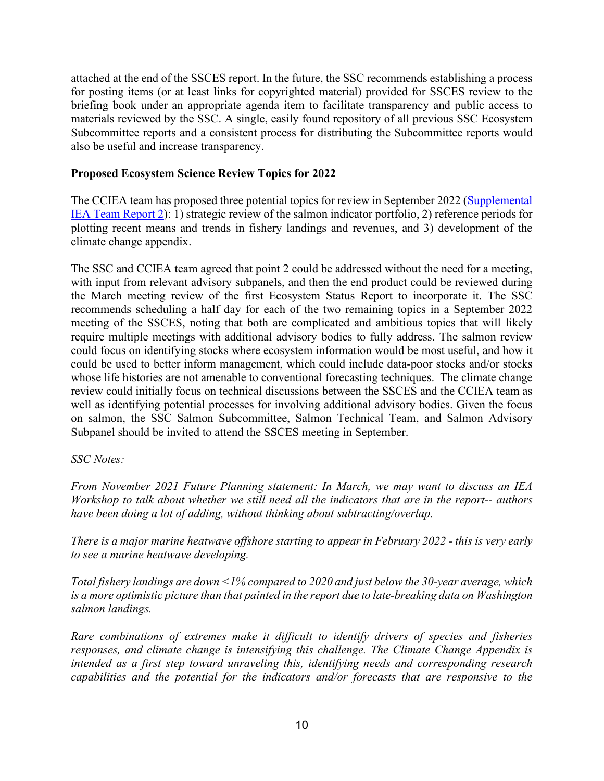attached at the end of the SSCES report. In the future, the SSC recommends establishing a process for posting items (or at least links for copyrighted material) provided for SSCES review to the briefing book under an appropriate agenda item to facilitate transparency and public access to materials reviewed by the SSC. A single, easily found repository of all previous SSC Ecosystem Subcommittee reports and a consistent process for distributing the Subcommittee reports would also be useful and increase transparency.

### **Proposed Ecosystem Science Review Topics for 2022**

The CCIEA team has proposed three potential topics for review in September 2022 [\(Supplemental](https://www.pcouncil.org/documents/2022/03/h-2-a-supplemental-cciea-team-report-2.pdf/)  [IEA Team Report 2\)](https://www.pcouncil.org/documents/2022/03/h-2-a-supplemental-cciea-team-report-2.pdf/): 1) strategic review of the salmon indicator portfolio, 2) reference periods for plotting recent means and trends in fishery landings and revenues, and 3) development of the climate change appendix.

The SSC and CCIEA team agreed that point 2 could be addressed without the need for a meeting, with input from relevant advisory subpanels, and then the end product could be reviewed during the March meeting review of the first Ecosystem Status Report to incorporate it. The SSC recommends scheduling a half day for each of the two remaining topics in a September 2022 meeting of the SSCES, noting that both are complicated and ambitious topics that will likely require multiple meetings with additional advisory bodies to fully address. The salmon review could focus on identifying stocks where ecosystem information would be most useful, and how it could be used to better inform management, which could include data-poor stocks and/or stocks whose life histories are not amenable to conventional forecasting techniques. The climate change review could initially focus on technical discussions between the SSCES and the CCIEA team as well as identifying potential processes for involving additional advisory bodies. Given the focus on salmon, the SSC Salmon Subcommittee, Salmon Technical Team, and Salmon Advisory Subpanel should be invited to attend the SSCES meeting in September.

### *SSC Notes:*

*From November 2021 Future Planning statement: In March, we may want to discuss an IEA Workshop to talk about whether we still need all the indicators that are in the report-- authors have been doing a lot of adding, without thinking about subtracting/overlap.*

*There is a major marine heatwave offshore starting to appear in February 2022 - this is very early to see a marine heatwave developing.* 

*Total fishery landings are down <1% compared to 2020 and just below the 30-year average, which is a more optimistic picture than that painted in the report due to late-breaking data on Washington salmon landings.*

*Rare combinations of extremes make it difficult to identify drivers of species and fisheries responses, and climate change is intensifying this challenge. The Climate Change Appendix is intended as a first step toward unraveling this, identifying needs and corresponding research capabilities and the potential for the indicators and/or forecasts that are responsive to the*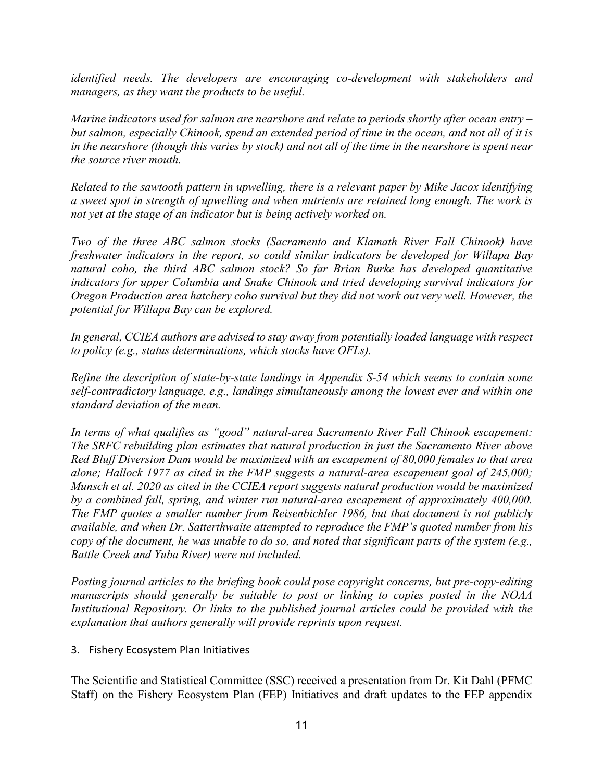*identified needs. The developers are encouraging co-development with stakeholders and managers, as they want the products to be useful.*

*Marine indicators used for salmon are nearshore and relate to periods shortly after ocean entry – but salmon, especially Chinook, spend an extended period of time in the ocean, and not all of it is in the nearshore (though this varies by stock) and not all of the time in the nearshore is spent near the source river mouth.* 

*Related to the sawtooth pattern in upwelling, there is a relevant paper by Mike Jacox identifying a sweet spot in strength of upwelling and when nutrients are retained long enough. The work is not yet at the stage of an indicator but is being actively worked on.*

*Two of the three ABC salmon stocks (Sacramento and Klamath River Fall Chinook) have freshwater indicators in the report, so could similar indicators be developed for Willapa Bay natural coho, the third ABC salmon stock? So far Brian Burke has developed quantitative indicators for upper Columbia and Snake Chinook and tried developing survival indicators for Oregon Production area hatchery coho survival but they did not work out very well. However, the potential for Willapa Bay can be explored.*

*In general, CCIEA authors are advised to stay away from potentially loaded language with respect to policy (e.g., status determinations, which stocks have OFLs).*

*Refine the description of state-by-state landings in Appendix S-54 which seems to contain some self-contradictory language, e.g., landings simultaneously among the lowest ever and within one standard deviation of the mean.*

*In terms of what qualifies as "good" natural-area Sacramento River Fall Chinook escapement: The SRFC rebuilding plan estimates that natural production in just the Sacramento River above Red Bluff Diversion Dam would be maximized with an escapement of 80,000 females to that area alone; Hallock 1977 as cited in the FMP suggests a natural-area escapement goal of 245,000; Munsch et al. 2020 as cited in the CCIEA report suggests natural production would be maximized by a combined fall, spring, and winter run natural-area escapement of approximately 400,000. The FMP quotes a smaller number from Reisenbichler 1986, but that document is not publicly available, and when Dr. Satterthwaite attempted to reproduce the FMP's quoted number from his copy of the document, he was unable to do so, and noted that significant parts of the system (e.g., Battle Creek and Yuba River) were not included.*

*Posting journal articles to the briefing book could pose copyright concerns, but pre-copy-editing manuscripts should generally be suitable to post or linking to copies posted in the NOAA Institutional Repository. Or links to the published journal articles could be provided with the explanation that authors generally will provide reprints upon request.*

### 3. Fishery Ecosystem Plan Initiatives

The Scientific and Statistical Committee (SSC) received a presentation from Dr. Kit Dahl (PFMC Staff) on the Fishery Ecosystem Plan (FEP) Initiatives and draft updates to the FEP appendix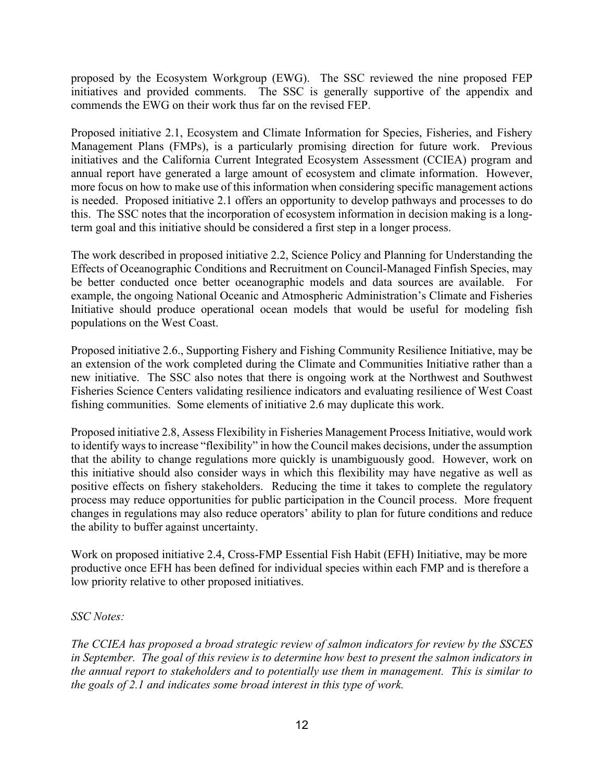proposed by the Ecosystem Workgroup (EWG). The SSC reviewed the nine proposed FEP initiatives and provided comments. The SSC is generally supportive of the appendix and commends the EWG on their work thus far on the revised FEP.

Proposed initiative 2.1, Ecosystem and Climate Information for Species, Fisheries, and Fishery Management Plans (FMPs), is a particularly promising direction for future work. Previous initiatives and the California Current Integrated Ecosystem Assessment (CCIEA) program and annual report have generated a large amount of ecosystem and climate information. However, more focus on how to make use of this information when considering specific management actions is needed. Proposed initiative 2.1 offers an opportunity to develop pathways and processes to do this. The SSC notes that the incorporation of ecosystem information in decision making is a longterm goal and this initiative should be considered a first step in a longer process.

The work described in proposed initiative 2.2, Science Policy and Planning for Understanding the Effects of Oceanographic Conditions and Recruitment on Council-Managed Finfish Species, may be better conducted once better oceanographic models and data sources are available. For example, the ongoing National Oceanic and Atmospheric Administration's Climate and Fisheries Initiative should produce operational ocean models that would be useful for modeling fish populations on the West Coast.

Proposed initiative 2.6., Supporting Fishery and Fishing Community Resilience Initiative, may be an extension of the work completed during the Climate and Communities Initiative rather than a new initiative. The SSC also notes that there is ongoing work at the Northwest and Southwest Fisheries Science Centers validating resilience indicators and evaluating resilience of West Coast fishing communities. Some elements of initiative 2.6 may duplicate this work.

Proposed initiative 2.8, Assess Flexibility in Fisheries Management Process Initiative, would work to identify ways to increase "flexibility" in how the Council makes decisions, under the assumption that the ability to change regulations more quickly is unambiguously good. However, work on this initiative should also consider ways in which this flexibility may have negative as well as positive effects on fishery stakeholders. Reducing the time it takes to complete the regulatory process may reduce opportunities for public participation in the Council process. More frequent changes in regulations may also reduce operators' ability to plan for future conditions and reduce the ability to buffer against uncertainty.

Work on proposed initiative 2.4, Cross-FMP Essential Fish Habit (EFH) Initiative, may be more productive once EFH has been defined for individual species within each FMP and is therefore a low priority relative to other proposed initiatives.

### *SSC Notes:*

*The CCIEA has proposed a broad strategic review of salmon indicators for review by the SSCES in September. The goal of this review is to determine how best to present the salmon indicators in the annual report to stakeholders and to potentially use them in management. This is similar to the goals of 2.1 and indicates some broad interest in this type of work.*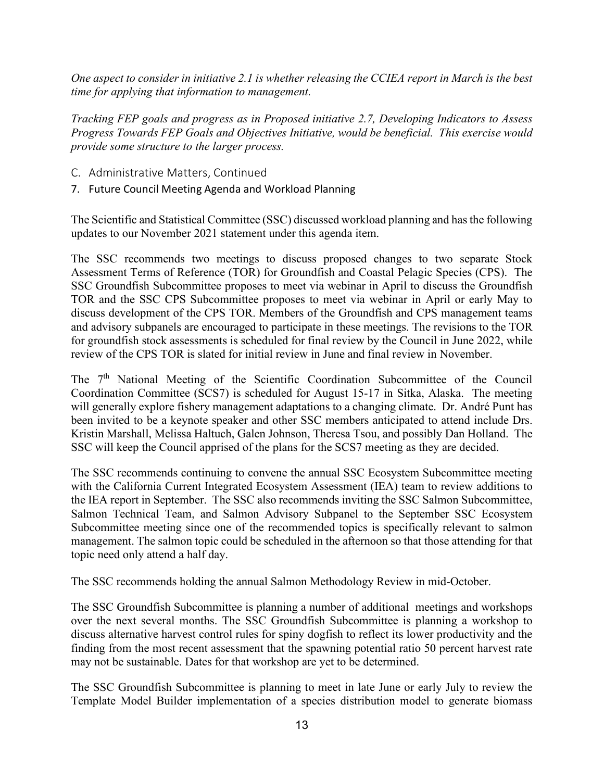*One aspect to consider in initiative 2.1 is whether releasing the CCIEA report in March is the best time for applying that information to management.* 

*Tracking FEP goals and progress as in Proposed initiative 2.7, Developing Indicators to Assess Progress Towards FEP Goals and Objectives Initiative, would be beneficial. This exercise would provide some structure to the larger process.*

- C. Administrative Matters, Continued
- 7. Future Council Meeting Agenda and Workload Planning

The Scientific and Statistical Committee (SSC) discussed workload planning and has the following updates to our November 2021 statement under this agenda item.

The SSC recommends two meetings to discuss proposed changes to two separate Stock Assessment Terms of Reference (TOR) for Groundfish and Coastal Pelagic Species (CPS). The SSC Groundfish Subcommittee proposes to meet via webinar in April to discuss the Groundfish TOR and the SSC CPS Subcommittee proposes to meet via webinar in April or early May to discuss development of the CPS TOR. Members of the Groundfish and CPS management teams and advisory subpanels are encouraged to participate in these meetings. The revisions to the TOR for groundfish stock assessments is scheduled for final review by the Council in June 2022, while review of the CPS TOR is slated for initial review in June and final review in November.

The  $7<sup>th</sup>$  National Meeting of the Scientific Coordination Subcommittee of the Council Coordination Committee (SCS7) is scheduled for August 15-17 in Sitka, Alaska. The meeting will generally explore fishery management adaptations to a changing climate. Dr. André Punt has been invited to be a keynote speaker and other SSC members anticipated to attend include Drs. Kristin Marshall, Melissa Haltuch, Galen Johnson, Theresa Tsou, and possibly Dan Holland. The SSC will keep the Council apprised of the plans for the SCS7 meeting as they are decided.

The SSC recommends continuing to convene the annual SSC Ecosystem Subcommittee meeting with the California Current Integrated Ecosystem Assessment (IEA) team to review additions to the IEA report in September. The SSC also recommends inviting the SSC Salmon Subcommittee, Salmon Technical Team, and Salmon Advisory Subpanel to the September SSC Ecosystem Subcommittee meeting since one of the recommended topics is specifically relevant to salmon management. The salmon topic could be scheduled in the afternoon so that those attending for that topic need only attend a half day.

The SSC recommends holding the annual Salmon Methodology Review in mid-October.

The SSC Groundfish Subcommittee is planning a number of additional meetings and workshops over the next several months. The SSC Groundfish Subcommittee is planning a workshop to discuss alternative harvest control rules for spiny dogfish to reflect its lower productivity and the finding from the most recent assessment that the spawning potential ratio 50 percent harvest rate may not be sustainable. Dates for that workshop are yet to be determined.

The SSC Groundfish Subcommittee is planning to meet in late June or early July to review the Template Model Builder implementation of a species distribution model to generate biomass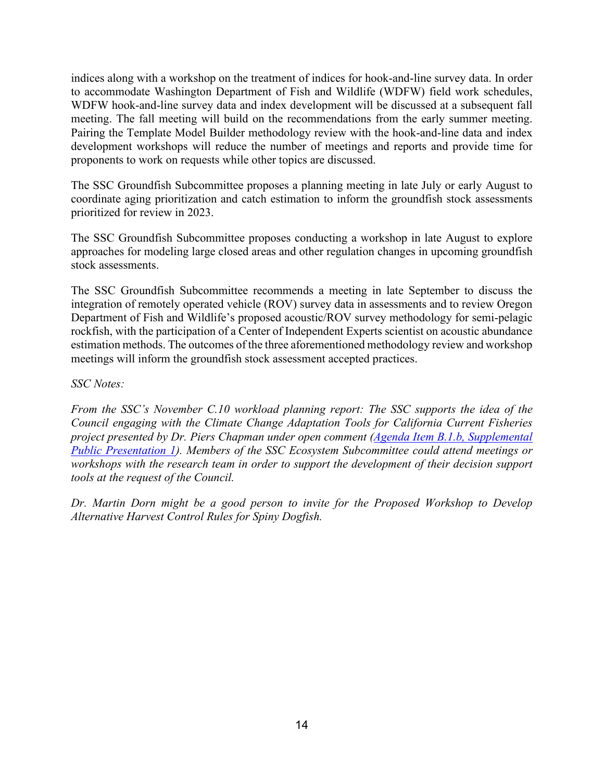indices along with a workshop on the treatment of indices for hook-and-line survey data. In order to accommodate Washington Department of Fish and Wildlife (WDFW) field work schedules, WDFW hook-and-line survey data and index development will be discussed at a subsequent fall meeting. The fall meeting will build on the recommendations from the early summer meeting. Pairing the Template Model Builder methodology review with the hook-and-line data and index development workshops will reduce the number of meetings and reports and provide time for proponents to work on requests while other topics are discussed.

The SSC Groundfish Subcommittee proposes a planning meeting in late July or early August to coordinate aging prioritization and catch estimation to inform the groundfish stock assessments prioritized for review in 2023.

The SSC Groundfish Subcommittee proposes conducting a workshop in late August to explore approaches for modeling large closed areas and other regulation changes in upcoming groundfish stock assessments.

The SSC Groundfish Subcommittee recommends a meeting in late September to discuss the integration of remotely operated vehicle (ROV) survey data in assessments and to review Oregon Department of Fish and Wildlife's proposed acoustic/ROV survey methodology for semi-pelagic rockfish, with the participation of a Center of Independent Experts scientist on acoustic abundance estimation methods. The outcomes of the three aforementioned methodology review and workshop meetings will inform the groundfish stock assessment accepted practices.

### *SSC Notes:*

*From the SSC's November C.10 workload planning report: The SSC supports the idea of the Council engaging with the Climate Change Adaptation Tools for California Current Fisheries project presented by Dr. Piers Chapman under open comment [\(Agenda Item B.1.b, Supplemental](https://www.pcouncil.org/documents/2021/11/b-1-b-supplemental-public-presentation-1-climate-change-adaptation-tools-for-california-current-fisheries-catcch-chapman.pdf/)  [Public Presentation 1\)](https://www.pcouncil.org/documents/2021/11/b-1-b-supplemental-public-presentation-1-climate-change-adaptation-tools-for-california-current-fisheries-catcch-chapman.pdf/). Members of the SSC Ecosystem Subcommittee could attend meetings or workshops with the research team in order to support the development of their decision support tools at the request of the Council.*

*Dr. Martin Dorn might be a good person to invite for the Proposed Workshop to Develop Alternative Harvest Control Rules for Spiny Dogfish.*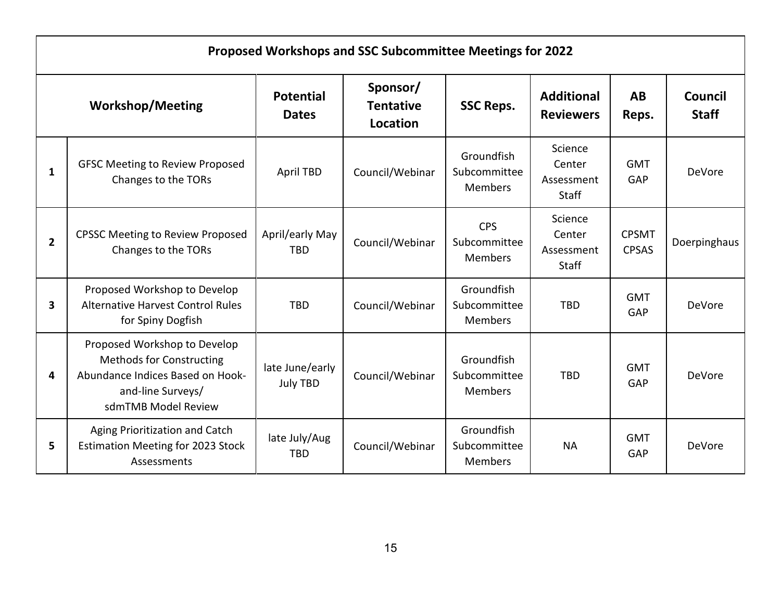|             | Proposed Workshops and SSC Subcommittee Meetings for 2022                                                                                       |                                    |                                          |                                              |                                                 |                              |                                |  |
|-------------|-------------------------------------------------------------------------------------------------------------------------------------------------|------------------------------------|------------------------------------------|----------------------------------------------|-------------------------------------------------|------------------------------|--------------------------------|--|
|             | <b>Workshop/Meeting</b>                                                                                                                         | <b>Potential</b><br><b>Dates</b>   | Sponsor/<br><b>Tentative</b><br>Location | <b>SSC Reps.</b>                             | <b>Additional</b><br><b>Reviewers</b>           | AB<br>Reps.                  | <b>Council</b><br><b>Staff</b> |  |
| 1           | <b>GFSC Meeting to Review Proposed</b><br>Changes to the TORs                                                                                   | April TBD                          | Council/Webinar                          | Groundfish<br>Subcommittee<br><b>Members</b> | Science<br>Center<br>Assessment<br><b>Staff</b> | <b>GMT</b><br>GAP            | <b>DeVore</b>                  |  |
| $2^{\circ}$ | <b>CPSSC Meeting to Review Proposed</b><br>Changes to the TORs                                                                                  | April/early May<br><b>TBD</b>      | Council/Webinar                          | <b>CPS</b><br>Subcommittee<br><b>Members</b> | Science<br>Center<br>Assessment<br>Staff        | <b>CPSMT</b><br><b>CPSAS</b> | Doerpinghaus                   |  |
| 3           | Proposed Workshop to Develop<br><b>Alternative Harvest Control Rules</b><br>for Spiny Dogfish                                                   | <b>TBD</b>                         | Council/Webinar                          | Groundfish<br>Subcommittee<br><b>Members</b> | <b>TBD</b>                                      | <b>GMT</b><br>GAP            | <b>DeVore</b>                  |  |
| 4           | Proposed Workshop to Develop<br><b>Methods for Constructing</b><br>Abundance Indices Based on Hook-<br>and-line Surveys/<br>sdmTMB Model Review | late June/early<br><b>July TBD</b> | Council/Webinar                          | Groundfish<br>Subcommittee<br><b>Members</b> | <b>TBD</b>                                      | <b>GMT</b><br>GAP            | DeVore                         |  |
| 5           | Aging Prioritization and Catch<br><b>Estimation Meeting for 2023 Stock</b><br>Assessments                                                       | late July/Aug<br><b>TBD</b>        | Council/Webinar                          | Groundfish<br>Subcommittee<br><b>Members</b> | <b>NA</b>                                       | <b>GMT</b><br>GAP            | <b>DeVore</b>                  |  |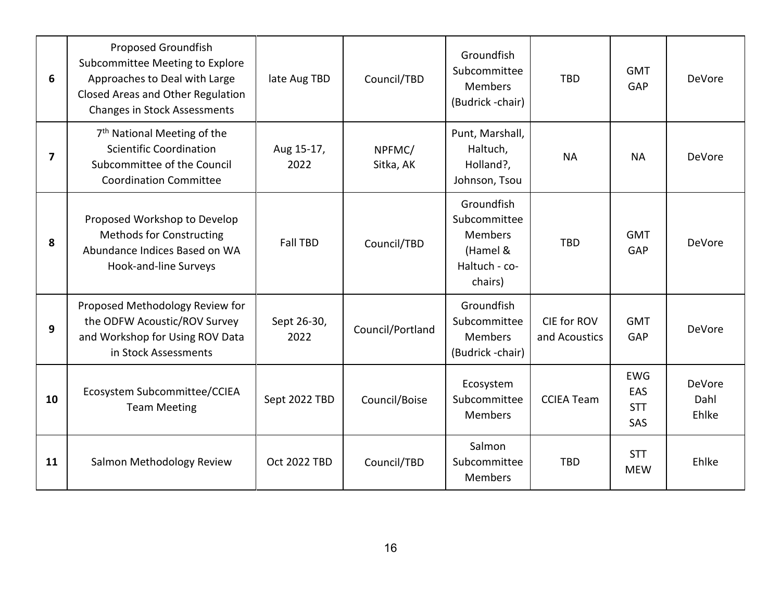| 6  | <b>Proposed Groundfish</b><br>Subcommittee Meeting to Explore<br>Approaches to Deal with Large<br>Closed Areas and Other Regulation<br><b>Changes in Stock Assessments</b> | late Aug TBD        | Council/TBD         | Groundfish<br>Subcommittee<br>Members<br>(Budrick-chair)                             | <b>TBD</b>                   | <b>GMT</b><br>GAP                      | <b>DeVore</b>                  |
|----|----------------------------------------------------------------------------------------------------------------------------------------------------------------------------|---------------------|---------------------|--------------------------------------------------------------------------------------|------------------------------|----------------------------------------|--------------------------------|
| 7  | 7 <sup>th</sup> National Meeting of the<br><b>Scientific Coordination</b><br>Subcommittee of the Council<br><b>Coordination Committee</b>                                  | Aug 15-17,<br>2022  | NPFMC/<br>Sitka, AK | Punt, Marshall,<br>Haltuch,<br>Holland?,<br>Johnson, Tsou                            | <b>NA</b>                    | <b>NA</b>                              | DeVore                         |
| 8  | Proposed Workshop to Develop<br><b>Methods for Constructing</b><br>Abundance Indices Based on WA<br>Hook-and-line Surveys                                                  | <b>Fall TBD</b>     | Council/TBD         | Groundfish<br>Subcommittee<br><b>Members</b><br>(Hamel &<br>Haltuch - co-<br>chairs) | <b>TBD</b>                   | <b>GMT</b><br>GAP                      | DeVore                         |
| 9  | Proposed Methodology Review for<br>the ODFW Acoustic/ROV Survey<br>and Workshop for Using ROV Data<br>in Stock Assessments                                                 | Sept 26-30,<br>2022 | Council/Portland    | Groundfish<br>Subcommittee<br><b>Members</b><br>(Budrick -chair)                     | CIE for ROV<br>and Acoustics | <b>GMT</b><br>GAP                      | <b>DeVore</b>                  |
| 10 | Ecosystem Subcommittee/CCIEA<br><b>Team Meeting</b>                                                                                                                        | Sept 2022 TBD       | Council/Boise       | Ecosystem<br>Subcommittee<br><b>Members</b>                                          | <b>CCIEA Team</b>            | <b>EWG</b><br>EAS<br><b>STT</b><br>SAS | <b>DeVore</b><br>Dahl<br>Ehlke |
| 11 | Salmon Methodology Review                                                                                                                                                  | <b>Oct 2022 TBD</b> | Council/TBD         | Salmon<br>Subcommittee<br><b>Members</b>                                             | <b>TBD</b>                   | <b>STT</b><br><b>MEW</b>               | Ehlke                          |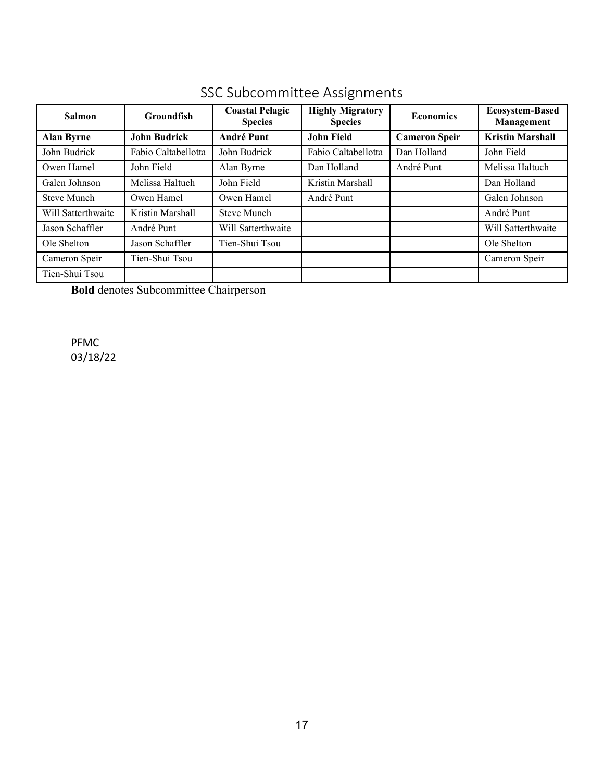| <b>Salmon</b>      | <b>Groundfish</b>   | <b>Coastal Pelagic</b><br><b>Species</b> | <b>Highly Migratory</b><br><b>Species</b> | <b>Economics</b>     | <b>Ecosystem-Based</b><br>Management |  |
|--------------------|---------------------|------------------------------------------|-------------------------------------------|----------------------|--------------------------------------|--|
| <b>Alan Byrne</b>  | <b>John Budrick</b> | <b>André Punt</b>                        | <b>John Field</b>                         | <b>Cameron Speir</b> | <b>Kristin Marshall</b>              |  |
| John Budrick       | Fabio Caltabellotta | John Budrick                             | Fabio Caltabellotta                       | Dan Holland          | John Field                           |  |
| Owen Hamel         | John Field          | Alan Byrne                               | Dan Holland                               | André Punt           | Melissa Haltuch                      |  |
| Galen Johnson      | Melissa Haltuch     | John Field                               | Kristin Marshall                          |                      | Dan Holland                          |  |
| Steve Munch        | Owen Hamel          | Owen Hamel                               | André Punt                                |                      | Galen Johnson                        |  |
| Will Satterthwaite | Kristin Marshall    | <b>Steve Munch</b>                       |                                           |                      | André Punt                           |  |
| Jason Schaffler    | André Punt          | Will Satterthwaite                       |                                           |                      | Will Satterthwaite                   |  |
| Ole Shelton        | Jason Schaffler     | Tien-Shui Tsou                           |                                           |                      | Ole Shelton                          |  |
| Cameron Speir      | Tien-Shui Tsou      |                                          |                                           |                      | Cameron Speir                        |  |
| Tien-Shui Tsou     |                     |                                          |                                           |                      |                                      |  |

### SSC Subcommittee Assignments

**Bold** denotes Subcommittee Chairperson

PFMC 03/18/22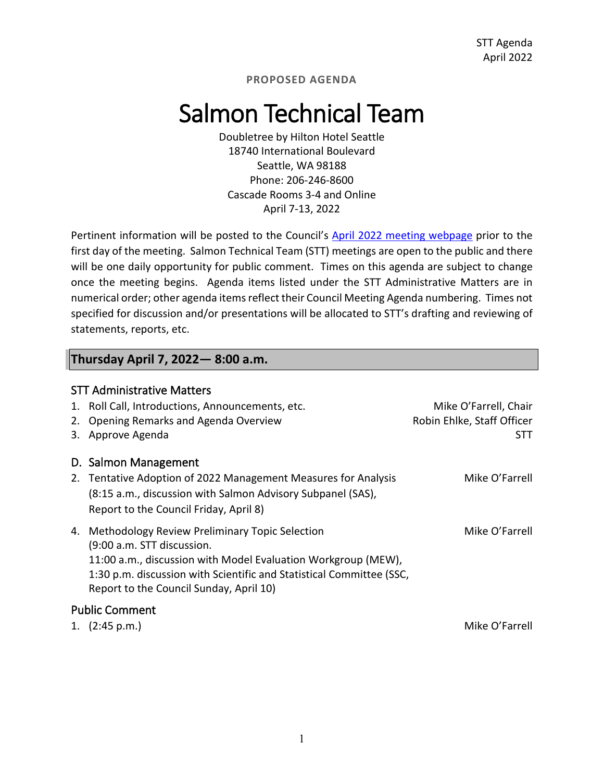## Salmon Technical Team

Doubletree by Hilton Hotel Seattle 18740 International Boulevard Seattle, WA 98188 Phone: 206-246-8600 Cascade Rooms 3-4 and Online April 7-13, 2022

Pertinent information will be posted to the Council's [April 2022](https://www.pcouncil.org/council_meeting/april-6-13-2022-council-meeting/) [meeting webpage](https://www.pcouncil.org/council_meeting/april-6-13-2022-council-meeting/) prior to the first day of the meeting. Salmon Technical Team (STT) meetings are open to the public and there will be one daily opportunity for public comment. Times on this agenda are subject to change once the meeting begins. Agenda items listed under the STT Administrative Matters are in numerical order; other agenda items reflect their Council Meeting Agenda numbering. Times not specified for discussion and/or presentations will be allocated to STT's drafting and reviewing of statements, reports, etc.

### **Thursday April 7, 2022— 8:00 a.m.**

| 1.<br>2.<br>3. | <b>STT Administrative Matters</b><br>Roll Call, Introductions, Announcements, etc.<br>Opening Remarks and Agenda Overview<br>Approve Agenda                                                                                                                         | Mike O'Farrell, Chair<br>Robin Ehlke, Staff Officer<br>STT |
|----------------|---------------------------------------------------------------------------------------------------------------------------------------------------------------------------------------------------------------------------------------------------------------------|------------------------------------------------------------|
|                | D. Salmon Management                                                                                                                                                                                                                                                |                                                            |
| 2.             | Tentative Adoption of 2022 Management Measures for Analysis<br>(8:15 a.m., discussion with Salmon Advisory Subpanel (SAS),<br>Report to the Council Friday, April 8)                                                                                                | Mike O'Farrell                                             |
|                | 4. Methodology Review Preliminary Topic Selection<br>(9:00 a.m. STT discussion.<br>11:00 a.m., discussion with Model Evaluation Workgroup (MEW),<br>1:30 p.m. discussion with Scientific and Statistical Committee (SSC,<br>Report to the Council Sunday, April 10) | Mike O'Farrell                                             |
|                | <b>Public Comment</b>                                                                                                                                                                                                                                               |                                                            |
|                | 1. $(2:45 p.m.)$                                                                                                                                                                                                                                                    | Mike O'Farrell                                             |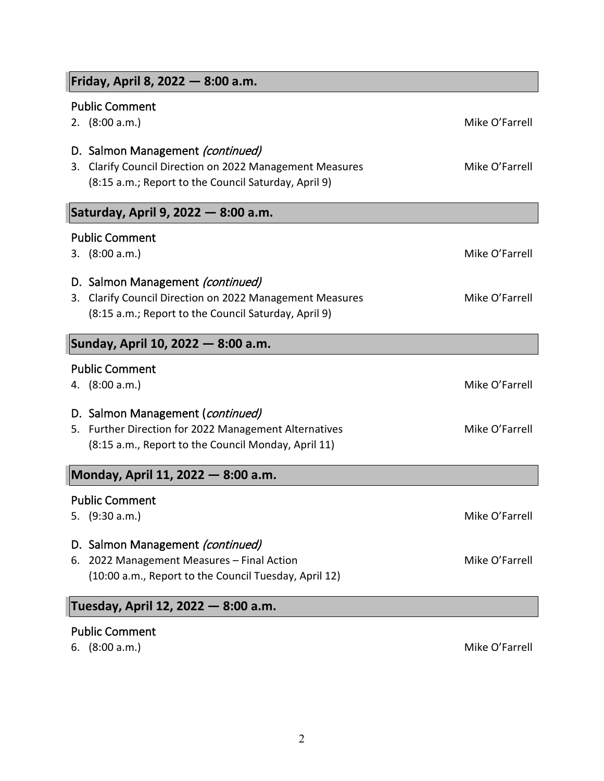| Friday, April 8, 2022 – 8:00 a.m.                                                                                                                       |                |  |  |  |  |
|---------------------------------------------------------------------------------------------------------------------------------------------------------|----------------|--|--|--|--|
| <b>Public Comment</b>                                                                                                                                   |                |  |  |  |  |
| 2. $(8:00 a.m.)$                                                                                                                                        | Mike O'Farrell |  |  |  |  |
| D. Salmon Management (continued)<br>Clarify Council Direction on 2022 Management Measures<br>3.<br>(8:15 a.m.; Report to the Council Saturday, April 9) | Mike O'Farrell |  |  |  |  |
| Saturday, April 9, 2022 - 8:00 a.m.                                                                                                                     |                |  |  |  |  |
| <b>Public Comment</b>                                                                                                                                   |                |  |  |  |  |
| 3. $(8:00 a.m.)$                                                                                                                                        | Mike O'Farrell |  |  |  |  |
| D. Salmon Management (continued)<br>Clarify Council Direction on 2022 Management Measures<br>3.<br>(8:15 a.m.; Report to the Council Saturday, April 9) | Mike O'Farrell |  |  |  |  |
| Sunday, April 10, 2022 – 8:00 a.m.                                                                                                                      |                |  |  |  |  |
| <b>Public Comment</b><br>4. $(8:00 a.m.)$                                                                                                               | Mike O'Farrell |  |  |  |  |
| D. Salmon Management (continued)<br>5. Further Direction for 2022 Management Alternatives<br>(8:15 a.m., Report to the Council Monday, April 11)        | Mike O'Farrell |  |  |  |  |
| Monday, April 11, 2022 - 8:00 a.m.                                                                                                                      |                |  |  |  |  |
| <b>Public Comment</b><br>(9:30 a.m.)<br>5.                                                                                                              | Mike O'Farrell |  |  |  |  |
| D. Salmon Management (continued)<br>2022 Management Measures - Final Action<br>6.<br>(10:00 a.m., Report to the Council Tuesday, April 12)              | Mike O'Farrell |  |  |  |  |
| Tuesday, April 12, 2022 — 8:00 a.m.                                                                                                                     |                |  |  |  |  |
| <b>Public Comment</b>                                                                                                                                   |                |  |  |  |  |

6. (8:00 a.m.) Mike O'Farrell